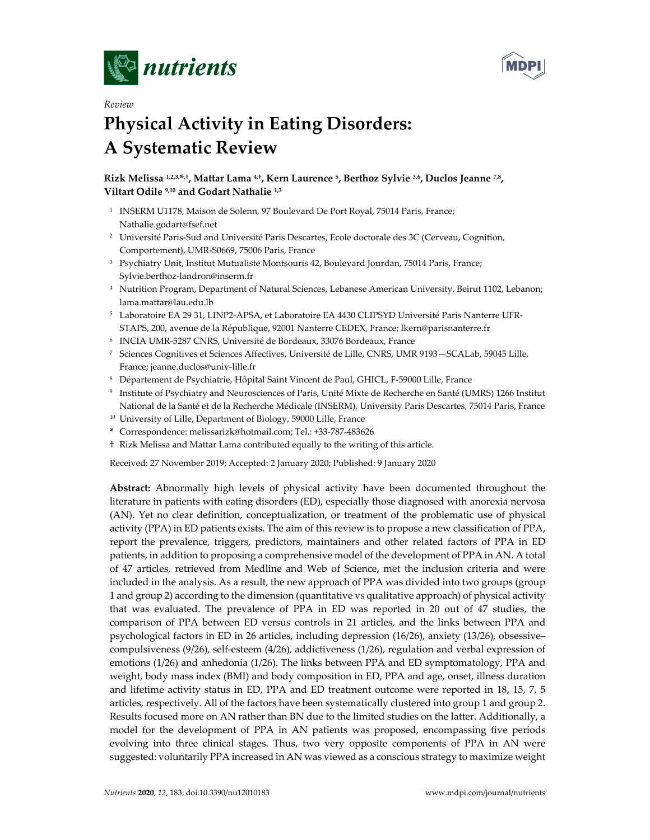



# *Review* **Physical Activity in Eating Disorders: A Systematic Review**

# **Rizk Melissa 1,2,3,\*,†, Mattar Lama 4,†, Kern Laurence 5, Berthoz Sylvie 3,6, Duclos Jeanne 7,8, Viltart Odile 9,10 and Godart Nathalie 1,3**

- <sup>1</sup> INSERM U1178, Maison de Solenn, 97 Boulevard De Port Royal, 75014 Paris, France; Nathalie.godart@fsef.net
- <sup>2</sup> Université Paris-Sud and Université Paris Descartes, Ecole doctorale des 3C (Cerveau, Cognition, Comportement), UMR‐S0669, 75006 Paris, France
- <sup>3</sup> Psychiatry Unit, Institut Mutualiste Montsouris 42, Boulevard Jourdan, 75014 Paris, France; Sylvie.berthoz‐landron@inserm.fr
- <sup>4</sup> Nutrition Program, Department of Natural Sciences, Lebanese American University, Beirut 1102, Lebanon; lama.mattar@lau.edu.lb
- <sup>5</sup> Laboratoire EA 29 31, LINP2-APSA, et Laboratoire EA 4430 CLIPSYD Université Paris Nanterre UFR-STAPS, 200, avenue de la République, 92001 Nanterre CEDEX, France; lkern@parisnanterre.fr
- <sup>6</sup> INCIA UMR‐5287 CNRS, Université de Bordeaux, 33076 Bordeaux, France
- <sup>7</sup> Sciences Cognitives et Sciences Affectives, Université de Lille, CNRS, UMR 9193—SCALab, 59045 Lille, France; jeanne.duclos@univ‐lille.fr
- <sup>8</sup> Département de Psychiatrie, Hôpital Saint Vincent de Paul, GHICL, F‐59000 Lille, France
- <sup>9</sup> Institute of Psychiatry and Neurosciences of Paris, Unité Mixte de Recherche en Santé (UMRS) 1266 Institut National de la Santé et de la Recherche Médicale (INSERM), University Paris Descartes, 75014 Paris, France
- <sup>10</sup> University of Lille, Department of Biology, 59000 Lille, France
- **\*** Correspondence: melissarizk@hotmail.com; Tel.: +33‐787‐483626
- † Rizk Melissa and Mattar Lama contributed equally to the writing of this article.

Received: 27 November 2019; Accepted: 2 January 2020; Published: 9 January 2020

**Abstract:** Abnormally high levels of physical activity have been documented throughout the literature in patients with eating disorders (ED), especially those diagnosed with anorexia nervosa (AN). Yet no clear definition, conceptualization, or treatment of the problematic use of physical activity (PPA) in ED patients exists. The aim of this review is to propose a new classification of PPA, report the prevalence, triggers, predictors, maintainers and other related factors of PPA in ED patients, in addition to proposing a comprehensive model of the development of PPA in AN. A total of 47 articles, retrieved from Medline and Web of Science, met the inclusion criteria and were included in the analysis. As a result, the new approach of PPA was divided into two groups (group 1 and group 2) according to the dimension (quantitative vs qualitative approach) of physical activity that was evaluated. The prevalence of PPA in ED was reported in 20 out of 47 studies, the comparison of PPA between ED versus controls in 21 articles, and the links between PPA and psychological factors in ED in 26 articles, including depression (16/26), anxiety (13/26), obsessive– compulsiveness (9/26), self‐esteem (4/26), addictiveness (1/26), regulation and verbal expression of emotions (1/26) and anhedonia (1/26). The links between PPA and ED symptomatology, PPA and weight, body mass index (BMI) and body composition in ED, PPA and age, onset, illness duration and lifetime activity status in ED, PPA and ED treatment outcome were reported in 18, 15, 7, 5 articles, respectively. All of the factors have been systematically clustered into group 1 and group 2. Results focused more on AN rather than BN due to the limited studies on the latter. Additionally, a model for the development of PPA in AN patients was proposed, encompassing five periods evolving into three clinical stages. Thus, two very opposite components of PPA in AN were suggested: voluntarily PPA increased in AN was viewed as a conscious strategy to maximize weight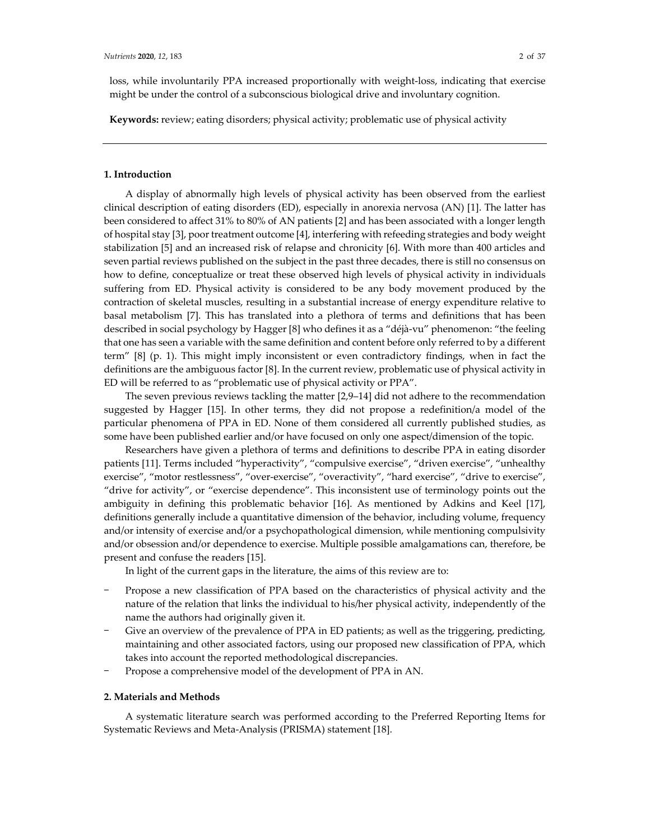loss, while involuntarily PPA increased proportionally with weight‐loss, indicating that exercise might be under the control of a subconscious biological drive and involuntary cognition.

**Keywords:** review; eating disorders; physical activity; problematic use of physical activity

# **1. Introduction**

A display of abnormally high levels of physical activity has been observed from the earliest clinical description of eating disorders (ED), especially in anorexia nervosa (AN) [1]. The latter has been considered to affect 31% to 80% of AN patients [2] and has been associated with a longer length of hospital stay [3], poortreatment outcome [4], interfering with refeeding strategies and body weight stabilization [5] and an increased risk of relapse and chronicity [6]. With more than 400 articles and seven partial reviews published on the subject in the past three decades, there is still no consensus on how to define, conceptualize or treat these observed high levels of physical activity in individuals suffering from ED. Physical activity is considered to be any body movement produced by the contraction of skeletal muscles, resulting in a substantial increase of energy expenditure relative to basal metabolism [7]. This has translated into a plethora of terms and definitions that has been described in social psychology by Hagger [8] who defines it as a "déjà‐vu" phenomenon: "the feeling that one has seen a variable with the same definition and content before only referred to by a different term" [8] (p. 1). This might imply inconsistent or even contradictory findings, when in fact the definitions are the ambiguous factor [8]. In the current review, problematic use of physical activity in ED will be referred to as "problematic use of physical activity or PPA".

The seven previous reviews tackling the matter [2,9–14] did not adhere to the recommendation suggested by Hagger [15]. In other terms, they did not propose a redefinition/a model of the particular phenomena of PPA in ED. None of them considered all currently published studies, as some have been published earlier and/or have focused on only one aspect/dimension of the topic.

Researchers have given a plethora of terms and definitions to describe PPA in eating disorder patients [11]. Terms included "hyperactivity", "compulsive exercise", "driven exercise", "unhealthy exercise", "motor restlessness", "over-exercise", "overactivity", "hard exercise", "drive to exercise", "drive for activity", or "exercise dependence". This inconsistent use of terminology points out the ambiguity in defining this problematic behavior [16]. As mentioned by Adkins and Keel [17], definitions generally include a quantitative dimension of the behavior, including volume, frequency and/or intensity of exercise and/or a psychopathological dimension, while mentioning compulsivity and/or obsession and/or dependence to exercise. Multiple possible amalgamations can, therefore, be present and confuse the readers [15].

In light of the current gaps in the literature, the aims of this review are to:

- Propose a new classification of PPA based on the characteristics of physical activity and the nature of the relation that links the individual to his/her physical activity, independently of the name the authors had originally given it.
- Give an overview of the prevalence of PPA in ED patients; as well as the triggering, predicting, maintaining and other associated factors, using our proposed new classification of PPA, which takes into account the reported methodological discrepancies.
- Propose a comprehensive model of the development of PPA in AN.

#### **2. Materials and Methods**

A systematic literature search was performed according to the Preferred Reporting Items for Systematic Reviews and Meta‐Analysis (PRISMA) statement [18].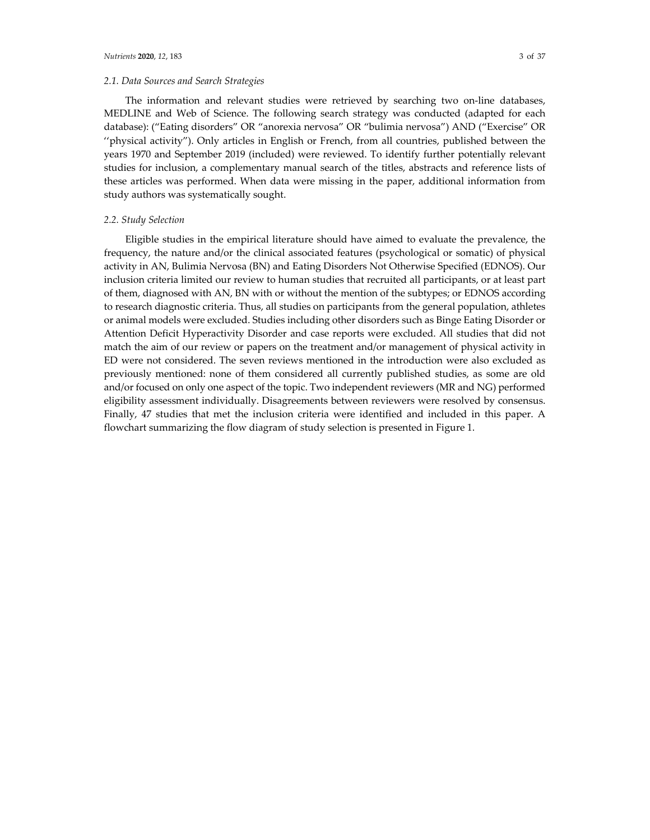The information and relevant studies were retrieved by searching two on-line databases, MEDLINE and Web of Science. The following search strategy was conducted (adapted for each database): ("Eating disorders" OR "anorexia nervosa" OR "bulimia nervosa") AND ("Exercise" OR ''physical activity"). Only articles in English or French, from all countries, published between the years 1970 and September 2019 (included) were reviewed. To identify further potentially relevant studies for inclusion, a complementary manual search of the titles, abstracts and reference lists of these articles was performed. When data were missing in the paper, additional information from study authors was systematically sought.

## *2.2. Study Selection*

Eligible studies in the empirical literature should have aimed to evaluate the prevalence, the frequency, the nature and/or the clinical associated features (psychological or somatic) of physical activity in AN, Bulimia Nervosa (BN) and Eating Disorders Not Otherwise Specified (EDNOS). Our inclusion criteria limited our review to human studies that recruited all participants, or at least part of them, diagnosed with AN, BN with or without the mention of the subtypes; or EDNOS according to research diagnostic criteria. Thus, all studies on participants from the general population, athletes or animal models were excluded. Studies including other disorders such as Binge Eating Disorder or Attention Deficit Hyperactivity Disorder and case reports were excluded. All studies that did not match the aim of our review or papers on the treatment and/or management of physical activity in ED were not considered. The seven reviews mentioned in the introduction were also excluded as previously mentioned: none of them considered all currently published studies, as some are old and/or focused on only one aspect of the topic. Two independent reviewers (MR and NG) performed eligibility assessment individually. Disagreements between reviewers were resolved by consensus. Finally, 47 studies that met the inclusion criteria were identified and included in this paper. A flowchart summarizing the flow diagram of study selection is presented in Figure 1.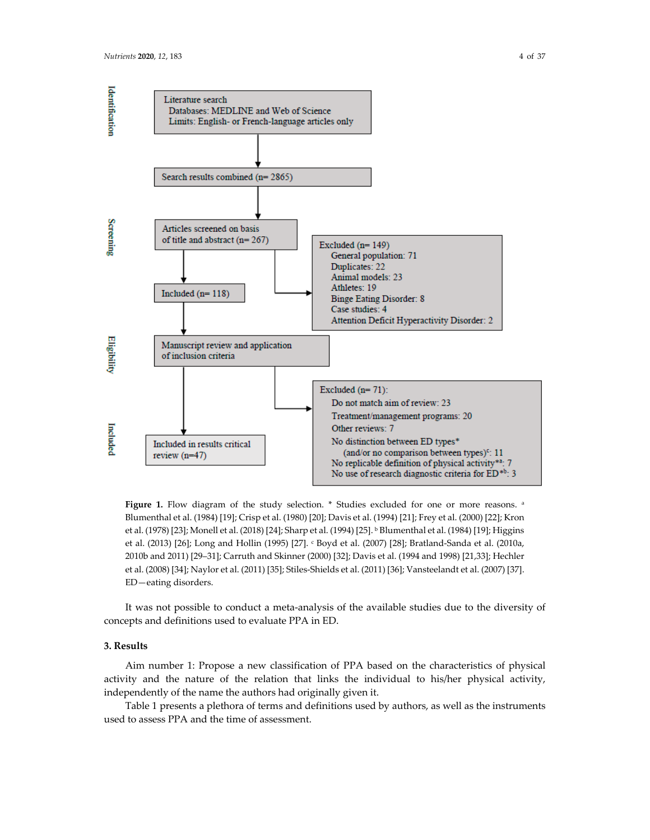

Figure 1. Flow diagram of the study selection. \* Studies excluded for one or more reasons. a Blumenthal et al. (1984) [19]; Crisp et al. (1980) [20]; Davis et al. (1994) [21]; Frey et al. (2000) [22]; Kron et al. (1978) [23]; Monell et al. (2018) [24]; Sharp et al. (1994) [25]. <sup>b</sup> Blumenthal et al. (1984) [19]; Higgins et al. (2013) [26]; Long and Hollin (1995) [27]. <sup>c</sup> Boyd et al. (2007) [28]; Bratland‐Sanda et al. (2010a, 2010b and 2011) [29–31]; Carruth and Skinner (2000) [32]; Davis et al. (1994 and 1998) [21,33]; Hechler et al. (2008) [34]; Naylor et al. (2011) [35]; Stiles‐Shields et al. (2011) [36]; Vansteelandt et al. (2007) [37]. ED—eating disorders.

It was not possible to conduct a meta‐analysis of the available studies due to the diversity of concepts and definitions used to evaluate PPA in ED.

# **3. Results**

Aim number 1: Propose a new classification of PPA based on the characteristics of physical activity and the nature of the relation that links the individual to his/her physical activity, independently of the name the authors had originally given it.

Table 1 presents a plethora of terms and definitions used by authors, as well as the instruments used to assess PPA and the time of assessment.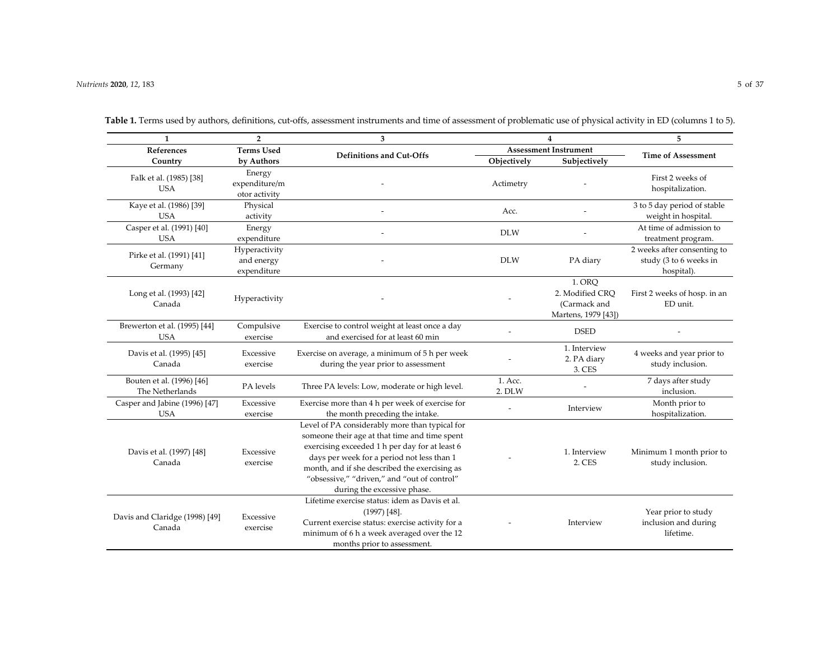| 1                                            | $\overline{2}$                             | 3                                                                                                                                                                                                                                                                                                                              |                     | 4                                                                | 5                                                                   |  |
|----------------------------------------------|--------------------------------------------|--------------------------------------------------------------------------------------------------------------------------------------------------------------------------------------------------------------------------------------------------------------------------------------------------------------------------------|---------------------|------------------------------------------------------------------|---------------------------------------------------------------------|--|
| References                                   | <b>Terms Used</b>                          | <b>Definitions and Cut-Offs</b>                                                                                                                                                                                                                                                                                                |                     | <b>Assessment Instrument</b>                                     | <b>Time of Assessment</b>                                           |  |
| Country                                      | by Authors                                 |                                                                                                                                                                                                                                                                                                                                | Objectively         | Subjectively                                                     |                                                                     |  |
| Falk et al. (1985) [38]<br><b>USA</b>        | Energy<br>expenditure/m<br>otor activity   |                                                                                                                                                                                                                                                                                                                                | Actimetry           |                                                                  | First 2 weeks of<br>hospitalization.                                |  |
| Kaye et al. (1986) [39]<br><b>USA</b>        | Physical<br>activity                       |                                                                                                                                                                                                                                                                                                                                | Acc.                |                                                                  | 3 to 5 day period of stable<br>weight in hospital.                  |  |
| Casper et al. (1991) [40]<br><b>USA</b>      | Energy<br>expenditure                      |                                                                                                                                                                                                                                                                                                                                | <b>DLW</b>          |                                                                  | At time of admission to<br>treatment program.                       |  |
| Pirke et al. (1991) [41]<br>Germany          | Hyperactivity<br>and energy<br>expenditure |                                                                                                                                                                                                                                                                                                                                | <b>DLW</b>          | PA diary                                                         | 2 weeks after consenting to<br>study (3 to 6 weeks in<br>hospital). |  |
| Long et al. (1993) [42]<br>Canada            | Hyperactivity                              |                                                                                                                                                                                                                                                                                                                                |                     | 1. ORO<br>2. Modified CRO<br>(Carmack and<br>Martens, 1979 [43]) | First 2 weeks of hosp. in an<br>ED unit.                            |  |
| Brewerton et al. (1995) [44]<br><b>USA</b>   | Compulsive<br>exercise                     | Exercise to control weight at least once a day<br>and exercised for at least 60 min                                                                                                                                                                                                                                            |                     | <b>DSED</b>                                                      |                                                                     |  |
| Davis et al. (1995) [45]<br>Canada           | Excessive<br>exercise                      | Exercise on average, a minimum of 5 h per week<br>during the year prior to assessment                                                                                                                                                                                                                                          |                     | 1. Interview<br>2. PA diary<br>3. CES                            | 4 weeks and year prior to<br>study inclusion.                       |  |
| Bouten et al. (1996) [46]<br>The Netherlands | PA levels                                  | Three PA levels: Low, moderate or high level.                                                                                                                                                                                                                                                                                  | 1. Acc.<br>$2.$ DLW |                                                                  | 7 days after study<br>inclusion.                                    |  |
| Casper and Jabine (1996) [47]<br><b>USA</b>  | Excessive<br>exercise                      | Exercise more than 4 h per week of exercise for<br>the month preceding the intake.                                                                                                                                                                                                                                             |                     | Interview                                                        | Month prior to<br>hospitalization.                                  |  |
| Davis et al. (1997) [48]<br>Canada           | Excessive<br>exercise                      | Level of PA considerably more than typical for<br>someone their age at that time and time spent<br>exercising exceeded 1 h per day for at least 6<br>days per week for a period not less than 1<br>month, and if she described the exercising as<br>"obsessive," "driven," and "out of control"<br>during the excessive phase. |                     | 1. Interview<br>2. CES                                           | Minimum 1 month prior to<br>study inclusion.                        |  |
| Davis and Claridge (1998) [49]<br>Canada     | Excessive<br>exercise                      | Lifetime exercise status: idem as Davis et al.<br>$(1997)$ [48].<br>Current exercise status: exercise activity for a<br>minimum of 6 h a week averaged over the 12<br>months prior to assessment.                                                                                                                              |                     | Interview                                                        | Year prior to study<br>inclusion and during<br>lifetime.            |  |

**Table 1.** Terms used by authors, definitions, cut‐offs, assessment instruments and time of assessment of problematic use of physical activity in ED (columns <sup>1</sup> to 5).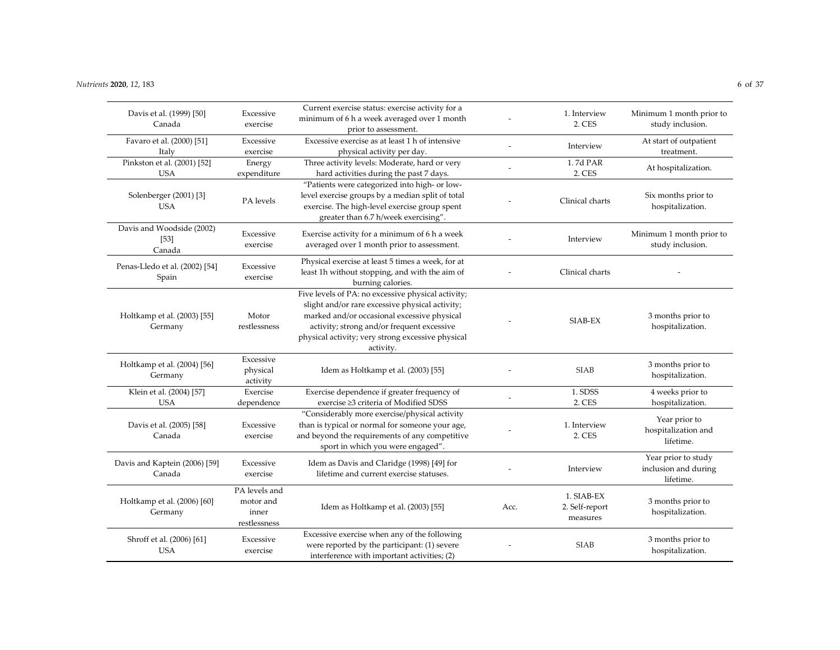#### *Nutrients* **2020**, *12*, 183 6 of 37

| Davis et al. (1999) [50]<br>Canada            | Excessive<br>exercise                                    | Current exercise status: exercise activity for a<br>minimum of 6 h a week averaged over 1 month<br>prior to assessment.                                                                                                                                              |      | 1. Interview<br>2. CES                   | Minimum 1 month prior to<br>study inclusion.             |
|-----------------------------------------------|----------------------------------------------------------|----------------------------------------------------------------------------------------------------------------------------------------------------------------------------------------------------------------------------------------------------------------------|------|------------------------------------------|----------------------------------------------------------|
| Favaro et al. (2000) [51]<br>Italy            | Excessive<br>exercise                                    | Excessive exercise as at least 1 h of intensive<br>physical activity per day.                                                                                                                                                                                        |      | Interview                                | At start of outpatient<br>treatment.                     |
| Pinkston et al. (2001) [52]<br><b>USA</b>     | Energy<br>expenditure                                    | Three activity levels: Moderate, hard or very<br>hard activities during the past 7 days.                                                                                                                                                                             |      | 1.7d PAR<br>2. CES                       | At hospitalization.                                      |
| Solenberger (2001) [3]<br><b>USA</b>          | PA levels                                                | "Patients were categorized into high- or low-<br>level exercise groups by a median split of total<br>exercise. The high-level exercise group spent<br>greater than 6.7 h/week exercising".                                                                           |      | Clinical charts                          | Six months prior to<br>hospitalization.                  |
| Davis and Woodside (2002)<br>$[53]$<br>Canada | Excessive<br>exercise                                    | Exercise activity for a minimum of 6 h a week<br>averaged over 1 month prior to assessment.                                                                                                                                                                          |      | Interview                                | Minimum 1 month prior to<br>study inclusion.             |
| Penas-Lledo et al. (2002) [54]<br>Spain       | Excessive<br>exercise                                    | Physical exercise at least 5 times a week, for at<br>least 1h without stopping, and with the aim of<br>burning calories.                                                                                                                                             |      | Clinical charts                          |                                                          |
| Holtkamp et al. (2003) [55]<br>Germany        | Motor<br>restlessness                                    | Five levels of PA: no excessive physical activity;<br>slight and/or rare excessive physical activity;<br>marked and/or occasional excessive physical<br>activity; strong and/or frequent excessive<br>physical activity; very strong excessive physical<br>activity. |      | SIAB-EX                                  | 3 months prior to<br>hospitalization.                    |
| Holtkamp et al. (2004) [56]<br>Germany        | Excessive<br>physical<br>activity                        | Idem as Holtkamp et al. (2003) [55]                                                                                                                                                                                                                                  |      | <b>SIAB</b>                              | 3 months prior to<br>hospitalization.                    |
| Klein et al. (2004) [57]<br><b>USA</b>        | Exercise<br>dependence                                   | Exercise dependence if greater frequency of<br>exercise ≥3 criteria of Modified SDSS                                                                                                                                                                                 |      | 1. SDSS<br>2. CES                        | 4 weeks prior to<br>hospitalization.                     |
| Davis et al. (2005) [58]<br>Canada            | Excessive<br>exercise                                    | "Considerably more exercise/physical activity<br>than is typical or normal for someone your age,<br>and beyond the requirements of any competitive<br>sport in which you were engaged".                                                                              |      | 1. Interview<br>2. CES                   | Year prior to<br>hospitalization and<br>lifetime.        |
| Davis and Kaptein (2006) [59]<br>Canada       | Excessive<br>exercise                                    | Idem as Davis and Claridge (1998) [49] for<br>lifetime and current exercise statuses.                                                                                                                                                                                |      | Interview                                | Year prior to study<br>inclusion and during<br>lifetime. |
| Holtkamp et al. (2006) [60]<br>Germany        | PA levels and<br>motor and<br>inner<br>$\,$ restlessness | Idem as Holtkamp et al. (2003) [55]                                                                                                                                                                                                                                  | Acc. | 1. SIAB-EX<br>2. Self-report<br>measures | 3 months prior to<br>hospitalization.                    |
| Shroff et al. (2006) [61]<br><b>USA</b>       | Excessive<br>exercise                                    | Excessive exercise when any of the following<br>were reported by the participant: (1) severe<br>interference with important activities; (2)                                                                                                                          |      | <b>SIAB</b>                              | 3 months prior to<br>hospitalization.                    |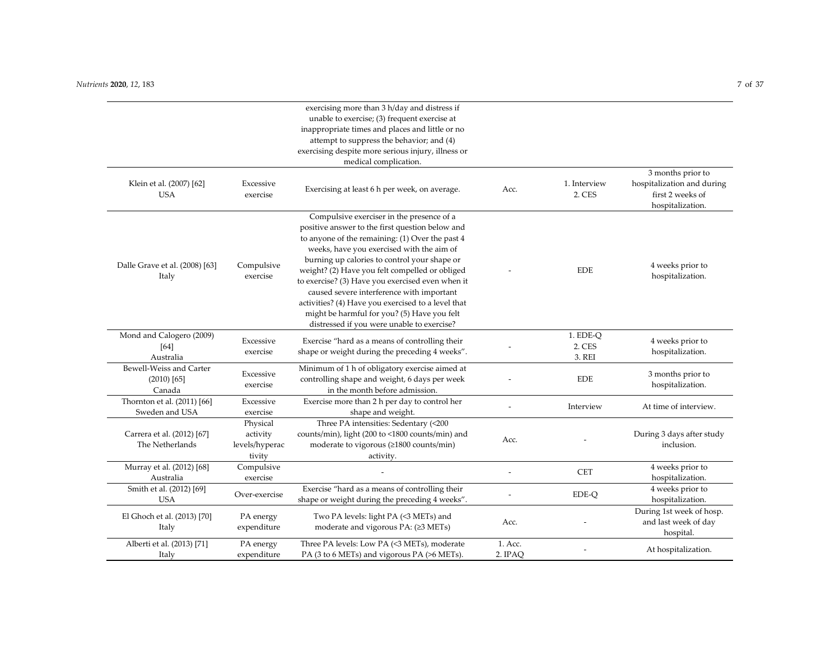|                                                    |                                                  | exercising more than 3 h/day and distress if<br>unable to exercise; (3) frequent exercise at<br>inappropriate times and places and little or no<br>attempt to suppress the behavior; and (4)<br>exercising despite more serious injury, illness or<br>medical complication.                                                                                                                                                                                                                                                                        |                    |                              |                                                                                         |
|----------------------------------------------------|--------------------------------------------------|----------------------------------------------------------------------------------------------------------------------------------------------------------------------------------------------------------------------------------------------------------------------------------------------------------------------------------------------------------------------------------------------------------------------------------------------------------------------------------------------------------------------------------------------------|--------------------|------------------------------|-----------------------------------------------------------------------------------------|
| Klein et al. (2007) [62]<br><b>USA</b>             | Excessive<br>exercise                            | Exercising at least 6 h per week, on average.                                                                                                                                                                                                                                                                                                                                                                                                                                                                                                      | Acc.               | 1. Interview<br>2. CES       | 3 months prior to<br>hospitalization and during<br>first 2 weeks of<br>hospitalization. |
| Dalle Grave et al. (2008) [63]<br>Italy            | Compulsive<br>exercise                           | Compulsive exerciser in the presence of a<br>positive answer to the first question below and<br>to anyone of the remaining: (1) Over the past 4<br>weeks, have you exercised with the aim of<br>burning up calories to control your shape or<br>weight? (2) Have you felt compelled or obliged<br>to exercise? (3) Have you exercised even when it<br>caused severe interference with important<br>activities? (4) Have you exercised to a level that<br>might be harmful for you? (5) Have you felt<br>distressed if you were unable to exercise? |                    | <b>EDE</b>                   | 4 weeks prior to<br>hospitalization.                                                    |
| Mond and Calogero (2009)<br>[64]<br>Australia      | Excessive<br>exercise                            | Exercise "hard as a means of controlling their<br>shape or weight during the preceding 4 weeks".                                                                                                                                                                                                                                                                                                                                                                                                                                                   |                    | 1. EDE-Q<br>2. CES<br>3. REI | 4 weeks prior to<br>hospitalization.                                                    |
| Bewell-Weiss and Carter<br>$(2010)$ [65]<br>Canada | Excessive<br>exercise                            | Minimum of 1 h of obligatory exercise aimed at<br>controlling shape and weight, 6 days per week<br>in the month before admission.                                                                                                                                                                                                                                                                                                                                                                                                                  |                    | <b>EDE</b>                   | 3 months prior to<br>hospitalization.                                                   |
| Thornton et al. (2011) [66]<br>Sweden and USA      | Excessive<br>exercise                            | Exercise more than 2 h per day to control her<br>shape and weight.                                                                                                                                                                                                                                                                                                                                                                                                                                                                                 |                    | Interview                    | At time of interview.                                                                   |
| Carrera et al. (2012) [67]<br>The Netherlands      | Physical<br>activity<br>levels/hyperac<br>tivity | Three PA intensities: Sedentary (<200<br>counts/min), light (200 to <1800 counts/min) and<br>moderate to vigorous (≥1800 counts/min)<br>activity.                                                                                                                                                                                                                                                                                                                                                                                                  | Acc.               |                              | During 3 days after study<br>inclusion.                                                 |
| Murray et al. (2012) [68]<br>Australia             | Compulsive<br>exercise                           |                                                                                                                                                                                                                                                                                                                                                                                                                                                                                                                                                    |                    | <b>CET</b>                   | 4 weeks prior to<br>hospitalization.                                                    |
| Smith et al. (2012) [69]<br><b>USA</b>             | Over-exercise                                    | Exercise "hard as a means of controlling their<br>shape or weight during the preceding 4 weeks".                                                                                                                                                                                                                                                                                                                                                                                                                                                   |                    | EDE-Q                        | 4 weeks prior to<br>hospitalization.                                                    |
| El Ghoch et al. (2013) [70]<br>Italy               | PA energy<br>expenditure                         | Two PA levels: light PA (<3 METs) and<br>moderate and vigorous $PA: (23 METs)$                                                                                                                                                                                                                                                                                                                                                                                                                                                                     | Acc.               |                              | During 1st week of hosp.<br>and last week of day<br>hospital.                           |
| Alberti et al. (2013) [71]<br>Italy                | PA energy<br>expenditure                         | Three PA levels: Low PA (<3 METs), moderate<br>PA (3 to 6 METs) and vigorous PA (>6 METs).                                                                                                                                                                                                                                                                                                                                                                                                                                                         | 1. Acc.<br>2. IPAQ |                              | At hospitalization.                                                                     |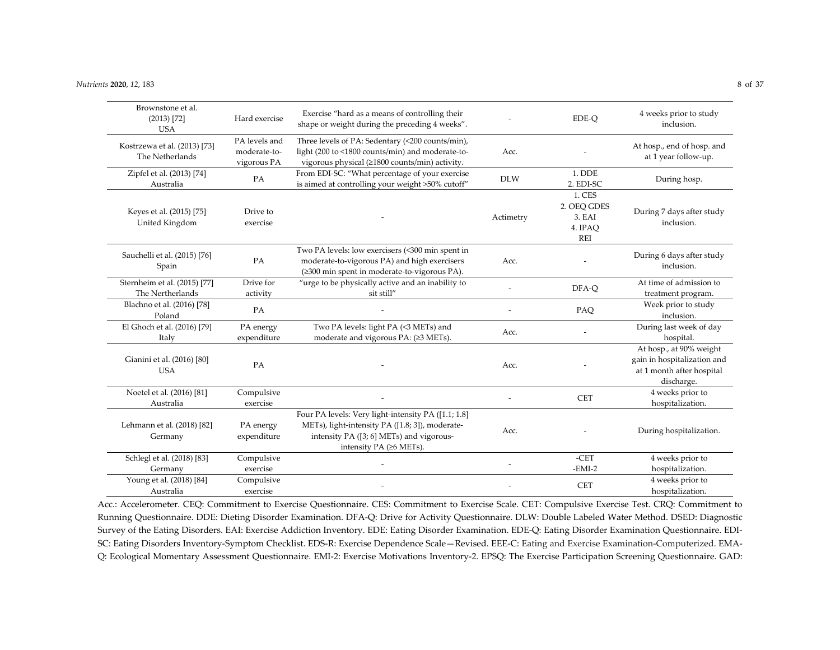| Brownstone et al.<br>$(2013)$ [72]<br><b>USA</b> | Hard exercise                                | Exercise "hard as a means of controlling their<br>shape or weight during the preceding 4 weeks".                                                                                |            | EDE-O                                             | 4 weeks prior to study<br>inclusion.                                                              |
|--------------------------------------------------|----------------------------------------------|---------------------------------------------------------------------------------------------------------------------------------------------------------------------------------|------------|---------------------------------------------------|---------------------------------------------------------------------------------------------------|
| Kostrzewa et al. (2013) [73]<br>The Netherlands  | PA levels and<br>moderate-to-<br>vigorous PA | Three levels of PA: Sedentary (<200 counts/min),<br>light (200 to <1800 counts/min) and moderate-to-<br>vigorous physical (≥1800 counts/min) activity.                          | Acc.       |                                                   | At hosp., end of hosp. and<br>at 1 year follow-up.                                                |
| Zipfel et al. (2013) [74]<br>Australia           | PA                                           | From EDI-SC: "What percentage of your exercise<br>is aimed at controlling your weight >50% cutoff"                                                                              | <b>DLW</b> | 1. DDE<br>2. EDI-SC                               | During hosp.                                                                                      |
| Keyes et al. (2015) [75]<br>United Kingdom       | Drive to<br>exercise                         |                                                                                                                                                                                 | Actimetry  | 1. CES<br>2. OEO GDES<br>3. EAI<br>4. IPAQ<br>REI | During 7 days after study<br>inclusion.                                                           |
| Sauchelli et al. (2015) [76]<br>Spain            | PA                                           | Two PA levels: low exercisers (<300 min spent in<br>moderate-to-vigorous PA) and high exercisers<br>(≥300 min spent in moderate-to-vigorous PA).                                | Acc.       |                                                   | During 6 days after study<br>inclusion.                                                           |
| Sternheim et al. (2015) [77]<br>The Nertherlands | Drive for<br>activity                        | "urge to be physically active and an inability to<br>sit still"                                                                                                                 |            | DFA-O                                             | At time of admission to<br>treatment program.                                                     |
| Blachno et al. (2016) [78]<br>Poland             | PA                                           |                                                                                                                                                                                 |            | PAQ                                               | Week prior to study<br>inclusion.                                                                 |
| El Ghoch et al. (2016) [79]<br>Italy             | PA energy<br>expenditure                     | Two PA levels: light PA (<3 METs) and<br>moderate and vigorous PA: $(≥3$ METs).                                                                                                 | Acc.       |                                                   | During last week of day<br>hospital.                                                              |
| Gianini et al. (2016) [80]<br><b>USA</b>         | PA                                           |                                                                                                                                                                                 | Acc.       |                                                   | At hosp., at 90% weight<br>gain in hospitalization and<br>at 1 month after hospital<br>discharge. |
| Noetel et al. (2016) [81]<br>Australia           | Compulsive<br>exercise                       |                                                                                                                                                                                 |            | <b>CET</b>                                        | 4 weeks prior to<br>hospitalization.                                                              |
| Lehmann et al. (2018) [82]<br>Germany            | PA energy<br>expenditure                     | Four PA levels: Very light-intensity PA ([1.1; 1.8]<br>METs), light-intensity PA ([1.8; 3]), moderate-<br>intensity PA ([3; 6] METs) and vigorous-<br>intensity PA $(≥6$ METs). | Acc.       |                                                   | During hospitalization.                                                                           |
| Schlegl et al. (2018) [83]<br>Germany            | Compulsive<br>exercise                       |                                                                                                                                                                                 |            | $-GET$<br>$-EMI-2$                                | 4 weeks prior to<br>hospitalization.                                                              |
| Young et al. (2018) [84]<br>Australia            | Compulsive<br>exercise                       |                                                                                                                                                                                 |            | <b>CET</b>                                        | 4 weeks prior to<br>hospitalization.                                                              |

Acc.: Accelerometer. CEQ: Commitment to Exercise Questionnaire. CES: Commitment to Exercise Scale. CET: Compulsive Exercise Test. CRQ: Commitment to Running Questionnaire. DDE: Dieting Disorder Examination. DFA‐Q: Drive for Activity Questionnaire. DLW: Double Labeled Water Method. DSED: Diagnostic Survey of the Eating Disorders. EAI: Exercise Addiction Inventory. EDE: Eating Disorder Examination. EDE‐Q: Eating Disorder Examination Questionnaire. EDI‐ SC: Eating Disorders Inventory‐Symptom Checklist. EDS‐R: Exercise Dependence Scale—Revised. EEE‐C: Eating and Exercise Examination‐Computerized. EMA‐ Q: Ecological Momentary Assessment Questionnaire. EMI‐2: Exercise Motivations Inventory‐2. EPSQ: The Exercise Participation Screening Questionnaire. GAD: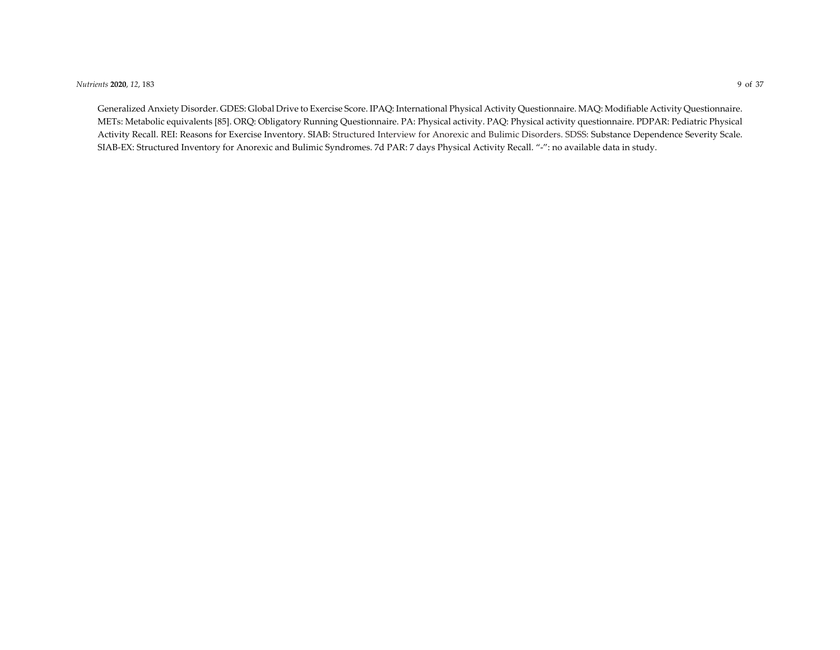#### *Nutrients* **2020**, *12*, 183 9 of 37

Generalized Anxiety Disorder. GDES: Global Drive to Exercise Score. IPAQ: International Physical Activity Questionnaire. MAQ: Modifiable Activity Questionnaire. METs: Metabolic equivalents [85]. ORQ: Obligatory Running Questionnaire. PA: Physical activity. PAQ: Physical activity questionnaire. PDPAR: Pediatric Physical Activity Recall. REI: Reasons for Exercise Inventory. SIAB: Structured Interview for Anorexic and Bulimic Disorders. SDSS: Substance Dependence Severity Scale. SIAB‐EX: Structured Inventory for Anorexic and Bulimic Syndromes. 7d PAR: <sup>7</sup> days Physical Activity Recall. "‐": no available data in study.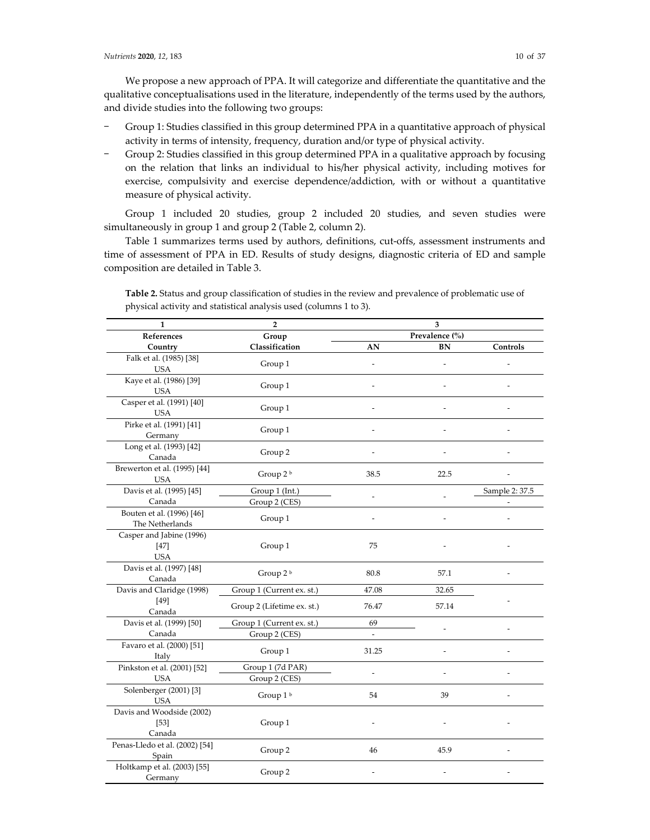We propose a new approach of PPA. It will categorize and differentiate the quantitative and the qualitative conceptualisations used in the literature, independently of the terms used by the authors, and divide studies into the following two groups:

- Group 1: Studies classified in this group determined PPA in a quantitative approach of physical activity in terms of intensity, frequency, duration and/or type of physical activity.
- Group 2: Studies classified in this group determined PPA in a qualitative approach by focusing on the relation that links an individual to his/her physical activity, including motives for exercise, compulsivity and exercise dependence/addiction, with or without a quantitative measure of physical activity.

Group 1 included 20 studies, group 2 included 20 studies, and seven studies were simultaneously in group 1 and group 2 (Table 2, column 2).

Table 1 summarizes terms used by authors, definitions, cut-offs, assessment instruments and time of assessment of PPA in ED. Results of study designs, diagnostic criteria of ED and sample composition are detailed in Table 3.

| $\mathbf{1}$                                   | $\mathbf{2}$               |       | $\overline{\mathbf{3}}$ |                |
|------------------------------------------------|----------------------------|-------|-------------------------|----------------|
| References                                     | Group                      |       | Prevalence (%)          |                |
| Country                                        | Classification             | AN    | BN                      | Controls       |
| Falk et al. (1985) [38]<br><b>USA</b>          | Group 1                    |       |                         |                |
| Kaye et al. (1986) [39]<br><b>USA</b>          | Group 1                    |       |                         |                |
| Casper et al. (1991) [40]<br><b>USA</b>        | Group 1                    |       |                         |                |
| Pirke et al. (1991) [41]<br>Germany            | Group 1                    |       |                         |                |
| Long et al. (1993) [42]<br>Canada              | Group 2                    |       |                         |                |
| Brewerton et al. (1995) [44]<br><b>USA</b>     | Group 2 <sup>b</sup>       | 38.5  | 22.5                    |                |
| Davis et al. (1995) [45]                       | Group 1 (Int.)             |       |                         | Sample 2: 37.5 |
| Canada                                         | Group 2 (CES)              |       |                         |                |
| Bouten et al. (1996) [46]<br>The Netherlands   | Group 1                    |       |                         |                |
| Casper and Jabine (1996)<br>[47]<br><b>USA</b> | Group 1                    | 75    |                         |                |
| Davis et al. (1997) [48]<br>Canada             | Group 2 <sup>b</sup>       | 80.8  | 57.1                    |                |
| Davis and Claridge (1998)                      | Group 1 (Current ex. st.)  | 47.08 | 32.65                   |                |
| $[49]$<br>Canada                               | Group 2 (Lifetime ex. st.) | 76.47 | 57.14                   |                |
| Davis et al. (1999) [50]                       | Group 1 (Current ex. st.)  | 69    |                         |                |
| Canada                                         | Group 2 (CES)              |       |                         |                |
| Favaro et al. (2000) [51]<br>Italy             | Group 1                    | 31.25 |                         |                |
| Pinkston et al. (2001) [52]                    | Group 1 (7d PAR)           |       |                         |                |
| <b>USA</b>                                     | Group 2 (CES)              |       |                         |                |
| Solenberger (2001) [3]<br><b>USA</b>           | Group 1 <sup>b</sup>       | 54    | 39                      |                |
| Davis and Woodside (2002)<br>$[53]$<br>Canada  | Group 1                    |       |                         |                |
| Penas-Lledo et al. (2002) [54]<br>Spain        | Group 2                    | 46    | 45.9                    |                |
| Holtkamp et al. (2003) [55]<br>Germany         | Group 2                    |       |                         |                |

**Table 2.** Status and group classification of studies in the review and prevalence of problematic use of physical activity and statistical analysis used (columns 1 to 3).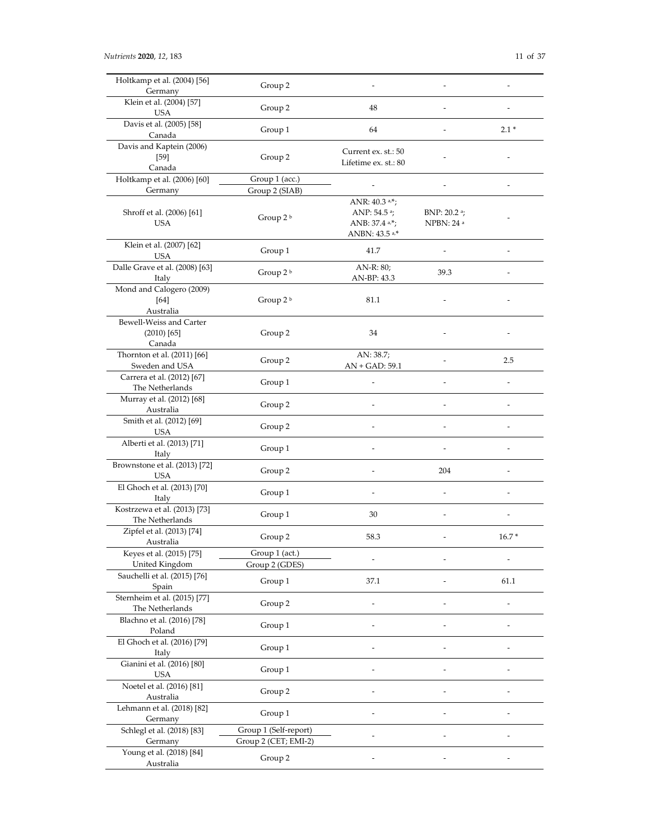| Holtkamp et al. (2004) [56]<br>Germany             | Group 2                          |                                                                    |                            |         |
|----------------------------------------------------|----------------------------------|--------------------------------------------------------------------|----------------------------|---------|
| Klein et al. (2004) [57]<br><b>USA</b>             | Group 2                          | 48                                                                 |                            |         |
| Davis et al. (2005) [58]<br>Canada                 | Group 1                          | 64                                                                 |                            | $2.1*$  |
| Davis and Kaptein (2006)<br>$[59]$<br>Canada       | Group 2                          | Current ex. st.: 50<br>Lifetime ex. st.: 80                        |                            |         |
| Holtkamp et al. (2006) [60]<br>Germany             | Group 1 (acc.)<br>Group 2 (SIAB) |                                                                    |                            |         |
| Shroff et al. (2006) [61]<br><b>USA</b>            | Group 2 <sup>b</sup>             | ANR: 40.3 a,*;<br>ANP: 54.5 a;<br>ANB: 37.4 a,*;<br>ANBN: 43.5 a,* | BNP: 20.2 a;<br>NPBN: 24 a |         |
| Klein et al. (2007) [62]<br>USA                    | Group 1                          | 41.7                                                               |                            |         |
| Dalle Grave et al. (2008) [63]<br>Italy            | Group 2 <sup>b</sup>             | AN-R: 80;<br>AN-BP: 43.3                                           | 39.3                       |         |
| Mond and Calogero (2009)<br>$[64]$<br>Australia    | Group 2 <sup>b</sup>             | 81.1                                                               |                            |         |
| Bewell-Weiss and Carter<br>$(2010)$ [65]<br>Canada | Group 2                          | 34                                                                 |                            |         |
| Thornton et al. (2011) [66]<br>Sweden and USA      | Group 2                          | AN: 38.7;<br>$AN + GAD: 59.1$                                      |                            | 2.5     |
| Carrera et al. (2012) [67]<br>The Netherlands      | Group 1                          |                                                                    |                            |         |
| Murray et al. (2012) [68]<br>Australia             | Group 2                          |                                                                    |                            |         |
| Smith et al. (2012) [69]<br><b>USA</b>             | Group 2                          |                                                                    |                            |         |
| Alberti et al. (2013) [71]<br>Italy                | Group 1                          |                                                                    |                            |         |
| Brownstone et al. (2013) [72]<br>USA               | Group 2                          |                                                                    | 204                        |         |
| El Ghoch et al. (2013) [70]<br>Italy               | Group 1                          |                                                                    |                            |         |
| Kostrzewa et al. (2013) [73]<br>The Netherlands    | Group 1                          | 30                                                                 |                            |         |
| Zipfel et al. (2013) [74]<br>Australia             | Group 2                          | 58.3                                                               |                            | $16.7*$ |
| Keyes et al. (2015) [75]                           | Group 1 (act.)                   |                                                                    |                            |         |
| United Kingdom                                     | Group 2 (GDES)                   |                                                                    |                            |         |
| Sauchelli et al. (2015) [76]<br>Spain              | Group 1                          | 37.1                                                               |                            | 61.1    |
| Sternheim et al. (2015) [77]<br>The Netherlands    | Group 2                          |                                                                    |                            |         |
| Blachno et al. (2016) [78]<br>Poland               | Group 1                          |                                                                    |                            |         |
| El Ghoch et al. (2016) [79]<br>Italy               | Group 1                          |                                                                    |                            |         |
| Gianini et al. (2016) [80]<br>USA                  | Group 1                          |                                                                    |                            |         |
| Noetel et al. (2016) [81]<br>Australia             | Group 2                          |                                                                    |                            |         |
| Lehmann et al. (2018) [82]<br>Germany              | Group 1                          |                                                                    |                            |         |
| Schlegl et al. (2018) [83]                         | Group 1 (Self-report)            |                                                                    |                            |         |
| Germany                                            | Group 2 (CET; EMI-2)             |                                                                    |                            |         |
| Young et al. (2018) [84]                           | Group 2                          |                                                                    |                            |         |
| Australia                                          |                                  |                                                                    |                            |         |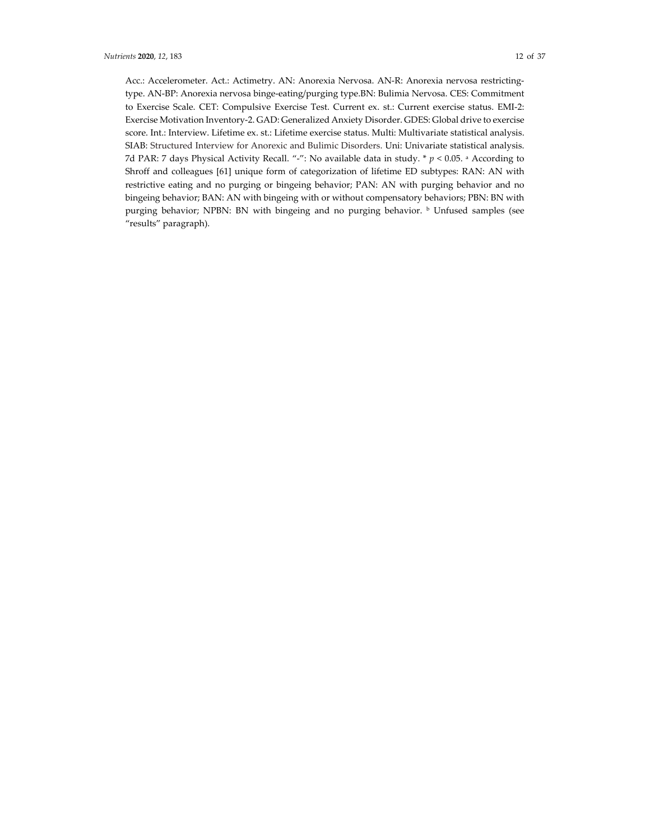Acc.: Accelerometer. Act.: Actimetry. AN: Anorexia Nervosa. AN‐R: Anorexia nervosa restricting‐ type. AN‐BP: Anorexia nervosa binge‐eating/purging type.BN: Bulimia Nervosa. CES: Commitment to Exercise Scale. CET: Compulsive Exercise Test. Current ex. st.: Current exercise status. EMI-2: Exercise Motivation Inventory‐2. GAD: Generalized Anxiety Disorder. GDES: Global drive to exercise score. Int.: Interview. Lifetime ex. st.: Lifetime exercise status. Multi: Multivariate statistical analysis. SIAB: Structured Interview for Anorexic and Bulimic Disorders. Uni: Univariate statistical analysis. 7d PAR: 7 days Physical Activity Recall. "-": No available data in study. \*  $p < 0.05$ . <sup>a</sup> According to Shroff and colleagues [61] unique form of categorization of lifetime ED subtypes: RAN: AN with restrictive eating and no purging or bingeing behavior; PAN: AN with purging behavior and no bingeing behavior; BAN: AN with bingeing with or without compensatory behaviors; PBN: BN with purging behavior; NPBN: BN with bingeing and no purging behavior. **b** Unfused samples (see "results" paragraph).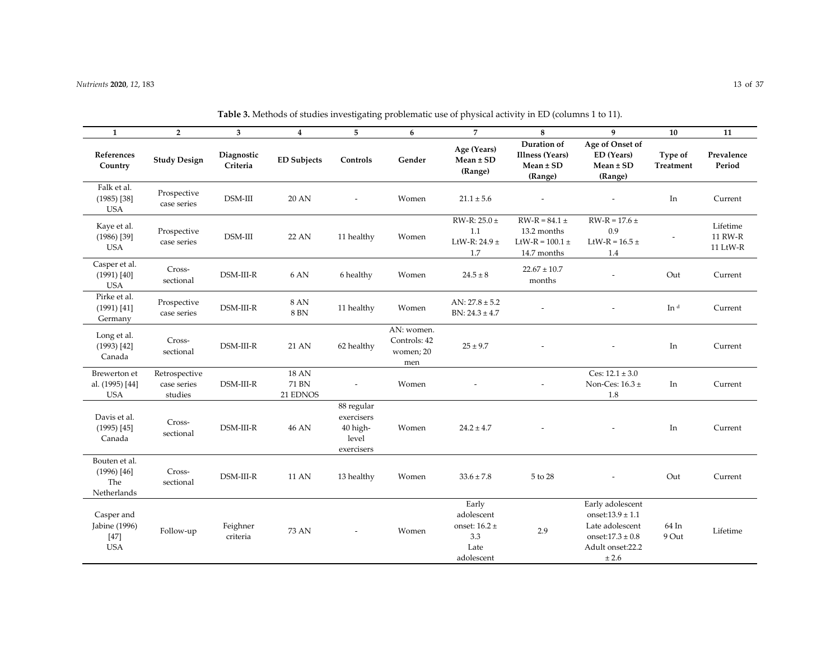| $\mathbf{1}$                                         | $\overline{2}$                          | 3                      | $\overline{4}$                    | 5                                                           | 6                                                 | $\overline{7}$<br>8                                                   |                                                                        | $\mathbf{q}$                                                                                                       | 10                   | 11                              |
|------------------------------------------------------|-----------------------------------------|------------------------|-----------------------------------|-------------------------------------------------------------|---------------------------------------------------|-----------------------------------------------------------------------|------------------------------------------------------------------------|--------------------------------------------------------------------------------------------------------------------|----------------------|---------------------------------|
| References<br>Country                                | <b>Study Design</b>                     | Diagnostic<br>Criteria | <b>ED Subjects</b>                | Controls                                                    | Age (Years)<br>Gender<br>$Mean \pm SD$<br>(Range) |                                                                       | Duration of<br>Illness (Years)<br>$Mean \pm SD$<br>(Range)             | Age of Onset of<br>ED (Years)<br>$Mean \pm SD$<br>(Range)                                                          | Type of<br>Treatment | Prevalence<br>Period            |
| Falk et al.<br>$(1985)$ [38]<br><b>USA</b>           | Prospective<br>case series              | DSM-III                | <b>20 AN</b>                      | $\overline{\phantom{a}}$                                    | Women                                             | $21.1 \pm 5.6$                                                        |                                                                        |                                                                                                                    | In                   | Current                         |
| Kaye et al.<br>$(1986)$ [39]<br><b>USA</b>           | Prospective<br>case series              | DSM-III                | 22 AN                             | 11 healthy                                                  | Women                                             | RW-R: $25.0 \pm$<br>1.1<br>LtW-R: $24.9 \pm$<br>1.7                   | $RW-R = 84.1 \pm$<br>13.2 months<br>LtW-R = $100.1 \pm$<br>14.7 months | $RW-R = 17.6 \pm$<br>0.9<br>LtW-R = $16.5 \pm$<br>1.4                                                              |                      | Lifetime<br>11 RW-R<br>11 LtW-R |
| Casper et al.<br>$(1991)$ [40]<br><b>USA</b>         | Cross-<br>sectional                     | DSM-III-R              | 6 AN                              | 6 healthy                                                   | Women                                             | $24.5 \pm 8$                                                          | $22.67 \pm 10.7$<br>months                                             |                                                                                                                    | Out                  | Current                         |
| Pirke et al.<br>$(1991)$ [41]<br>Germany             | Prospective<br>case series              | DSM-III-R              | $8\ \mathrm{AN}$<br><b>8 BN</b>   | 11 healthy                                                  | Women                                             | AN: $27.8 \pm 5.2$<br>BN: $24.3 \pm 4.7$                              |                                                                        |                                                                                                                    | In d                 | Current                         |
| Long et al.<br>$(1993)$ [42]<br>Canada               | Cross-<br>sectional                     | DSM-III-R              | 21 AN                             | 62 healthy                                                  | AN: women.<br>Controls: 42<br>women; 20<br>men    | $25 \pm 9.7$                                                          |                                                                        |                                                                                                                    | In                   | Current                         |
| Brewerton et<br>al. (1995) [44]<br><b>USA</b>        | Retrospective<br>case series<br>studies | DSM-III-R              | <b>18 AN</b><br>71 BN<br>21 EDNOS |                                                             | Women                                             |                                                                       |                                                                        | Ces: $12.1 \pm 3.0$<br>Non-Ces: $16.3 \pm$<br>1.8                                                                  | In                   | Current                         |
| Davis et al.<br>$(1995)$ [45]<br>Canada              | Cross-<br>sectional                     | DSM-III-R              | <b>46 AN</b>                      | 88 regular<br>exercisers<br>40 high-<br>level<br>exercisers | Women                                             | $24.2 \pm 4.7$                                                        |                                                                        |                                                                                                                    | In                   | Current                         |
| Bouten et al.<br>$(1996)$ [46]<br>The<br>Netherlands | Cross-<br>sectional                     | DSM-III-R              | <b>11 AN</b>                      | 13 healthy                                                  | Women                                             | $33.6 \pm 7.8$                                                        | 5 to 28                                                                |                                                                                                                    | Out                  | Current                         |
| Casper and<br>Jabine (1996)<br>$[47]$<br><b>USA</b>  | Follow-up                               | Feighner<br>criteria   | 73 AN                             |                                                             | Women                                             | Early<br>adolescent<br>onset: $16.2 \pm$<br>3.3<br>Late<br>adolescent | 2.9                                                                    | Early adolescent<br>onset: $13.9 \pm 1.1$<br>Late adolescent<br>onset: $17.3 \pm 0.8$<br>Adult onset:22.2<br>± 2.6 | 64 In<br>9 Out       | Lifetime                        |

**Table 3.** Methods of studies investigating problematic use of physical activity in ED (columns <sup>1</sup> to 11).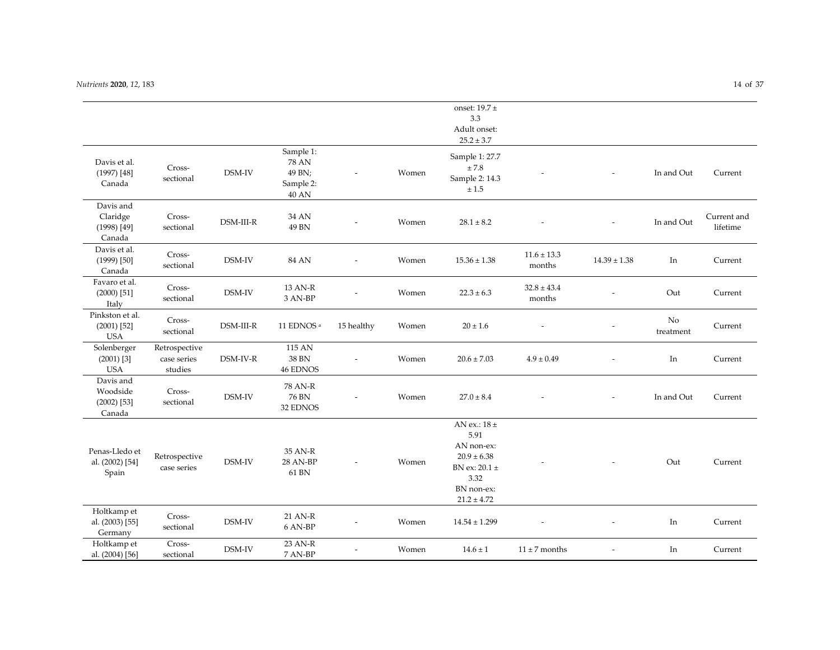### *Nutrients* **2020**, *12*, 183 14 of 37

|                                                  |                                         |                                        |                                                                  |                          |       | onset: 19.7 $\pm$<br>3.3<br>Adult onset:<br>$25.2 \pm 3.7$                                                          |                           |                  |                 |                         |
|--------------------------------------------------|-----------------------------------------|----------------------------------------|------------------------------------------------------------------|--------------------------|-------|---------------------------------------------------------------------------------------------------------------------|---------------------------|------------------|-----------------|-------------------------|
| Davis et al.<br>$(1997)$ [48]<br>Canada          | Cross-<br>sectional                     | DSM-IV                                 | Sample 1:<br><b>78 AN</b><br>49 BN;<br>Sample 2:<br><b>40 AN</b> | $\overline{a}$           | Women | Sample 1: 27.7<br>$\pm\,7.8$<br>Sample 2: 14.3<br>$\pm\,1.5$                                                        |                           |                  | In and Out      | Current                 |
| Davis and<br>Claridge<br>$(1998)$ [49]<br>Canada | Cross-<br>sectional                     | DSM-III-R                              | 34 AN<br>49 BN                                                   |                          | Women | $28.1 \pm 8.2$                                                                                                      |                           | $\overline{a}$   | In and Out      | Current and<br>lifetime |
| Davis et al.<br>$(1999)$ [50]<br>Canada          | Cross-<br>sectional                     | DSM-IV                                 | <b>84 AN</b>                                                     |                          | Women | $15.36 \pm 1.38$                                                                                                    | $11.6 \pm 13.3$<br>months | $14.39 \pm 1.38$ | In              | Current                 |
| Favaro et al.<br>$(2000)$ [51]<br>Italy          | Cross-<br>sectional                     | DSM-IV                                 | 13 AN-R<br>3 AN-BP                                               | $\overline{\phantom{a}}$ | Women | $22.3 \pm 6.3$                                                                                                      | $32.8 \pm 43.4$<br>months |                  | Out             | Current                 |
| Pinkston et al.<br>$(2001)$ [52]<br><b>USA</b>   | Cross-<br>sectional                     | $\mathop{\rm DSM\text{-}III\text{-}R}$ | 11 EDNOS <sup>a</sup>                                            | 15 healthy               | Women | $20 \pm 1.6$                                                                                                        |                           |                  | No<br>treatment | Current                 |
| Solenberger<br>$(2001)$ [3]<br><b>USA</b>        | Retrospective<br>case series<br>studies | DSM-IV-R                               | $115 \ \mathrm{AN}$<br>38 BN<br><b>46 EDNOS</b>                  |                          | Women | $20.6\pm7.03$                                                                                                       | $4.9 \pm 0.49$            |                  | In              | Current                 |
| Davis and<br>Woodside<br>$(2002)$ [53]<br>Canada | Cross-<br>sectional                     | DSM-IV                                 | 78 AN-R<br>76 BN<br>32 EDNOS                                     |                          | Women | $27.0 \pm 8.4$                                                                                                      |                           |                  | In and Out      | Current                 |
| Penas-Lledo et<br>al. (2002) [54]<br>Spain       | Retrospective<br>case series            | DSM-IV                                 | 35 AN-R<br>28 AN-BP<br>61 BN                                     |                          | Women | AN ex.: 18 $\pm$<br>5.91<br>AN non-ex:<br>$20.9 \pm 6.38$<br>BN ex: 20.1 ±<br>3.32<br>BN non-ex:<br>$21.2 \pm 4.72$ |                           |                  | Out             | Current                 |
| Holtkamp et<br>al. (2003) [55]<br>Germany        | Cross-<br>sectional                     | DSM-IV                                 | 21 AN-R<br>6 AN-BP                                               | $\overline{\phantom{a}}$ | Women | $14.54 \pm 1.299$                                                                                                   |                           | $\overline{a}$   | In              | Current                 |
| Holtkamp et<br>al. (2004) [56]                   | Cross-<br>sectional                     | DSM-IV                                 | 23 AN-R<br>7 AN-BP                                               |                          | Women | $14.6 \pm 1$                                                                                                        | $11 \pm 7$ months         | $\overline{a}$   | In              | Current                 |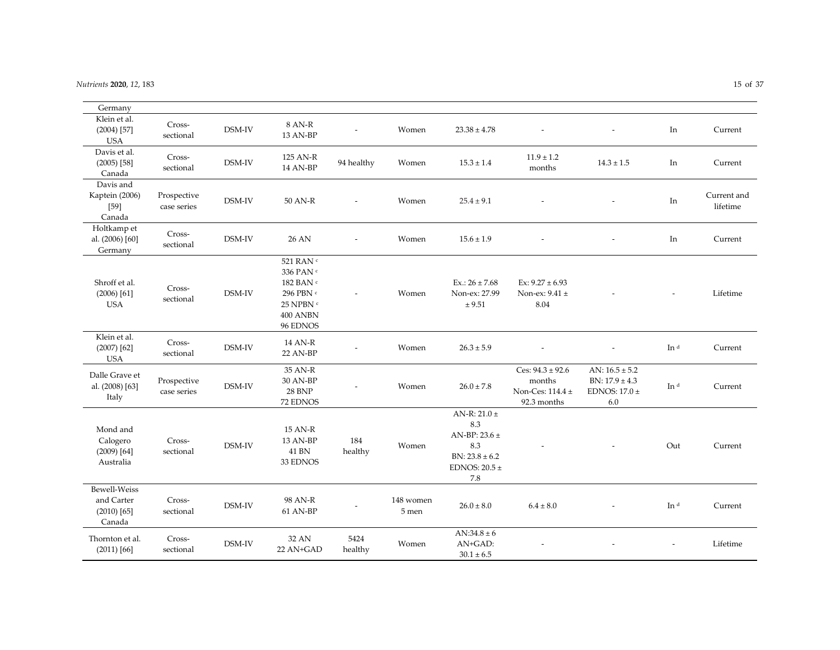#### *Nutrients* **2020**, *12*, 183 15 of 37

| Germany                                               |                            |        |                                                                                                  |                          |                    |                                                                                                       |                                                                   |                                                                      |                          |                         |
|-------------------------------------------------------|----------------------------|--------|--------------------------------------------------------------------------------------------------|--------------------------|--------------------|-------------------------------------------------------------------------------------------------------|-------------------------------------------------------------------|----------------------------------------------------------------------|--------------------------|-------------------------|
| Klein et al.<br>$(2004)$ [57]<br><b>USA</b>           | Cross-<br>sectional        | DSM-IV | 8 AN-R<br>13 AN-BP                                                                               |                          | Women              | $23.38 \pm 4.78$                                                                                      |                                                                   | $\overline{a}$                                                       | In                       | Current                 |
| Davis et al.<br>$(2005)$ [58]<br>Canada               | Cross-<br>sectional        | DSM-IV | 125 AN-R<br>14 AN-BP                                                                             | 94 healthy               | Women              | $15.3 \pm 1.4$                                                                                        | $11.9 \pm 1.2$<br>months                                          | $14.3 \pm 1.5$                                                       | In                       | Current                 |
| Davis and<br>Kaptein (2006)<br>$[59]$<br>Canada       | Prospective<br>case series | DSM-IV | 50 AN-R                                                                                          | $\overline{\phantom{a}}$ | Women              | $25.4 \pm 9.1$                                                                                        |                                                                   |                                                                      | In                       | Current and<br>lifetime |
| Holtkamp et<br>al. (2006) [60]<br>Germany             | Cross-<br>sectional        | DSM-IV | <b>26 AN</b>                                                                                     |                          | Women              | $15.6 \pm 1.9$                                                                                        |                                                                   |                                                                      | In                       | Current                 |
| Shroff et al.<br>$(2006)$ [61]<br><b>USA</b>          | Cross-<br>sectional        | DSM-IV | $521$ RAN $^{\rm c}$<br>336 PAN c<br>182 BAN c<br>296 PBN c<br>25 NPBN c<br>400 ANBN<br>96 EDNOS | $\sim$                   | Women              | $Ex.: 26 \pm 7.68$<br>Non-ex: 27.99<br>± 9.51                                                         | Ex: $9.27 \pm 6.93$<br>Non-ex: 9.41 ±<br>8.04                     |                                                                      |                          | Lifetime                |
| Klein et al.<br>$(2007)$ [62]<br><b>USA</b>           | Cross-<br>sectional        | DSM-IV | 14 AN-R<br>22 AN-BP                                                                              |                          | Women              | $26.3 \pm 5.9$                                                                                        |                                                                   |                                                                      | In d                     | Current                 |
| Dalle Grave et<br>al. (2008) [63]<br>Italy            | Prospective<br>case series | DSM-IV | 35 AN-R<br>30 AN-BP<br><b>28 BNP</b><br>72 EDNOS                                                 | $\overline{\phantom{a}}$ | Women              | $26.0 \pm 7.8$                                                                                        | Ces: $94.3 \pm 92.6$<br>months<br>Non-Ces: 114.4 ±<br>92.3 months | AN: $16.5 \pm 5.2$<br>$BN: 17.9 \pm 4.3$<br>EDNOS: $17.0 \pm$<br>6.0 | In d                     | Current                 |
| Mond and<br>Calogero<br>$(2009)$ [64]<br>Australia    | Cross-<br>sectional        | DSM-IV | 15 AN-R<br>13 AN-BP<br>$41\ \mathrm{BN}$<br>33 EDNOS                                             | 184<br>healthy           | Women              | AN-R: $21.0 \pm$<br>8.3<br>AN-BP: 23.6 $\pm$<br>8.3<br>$BN: 23.8 \pm 6.2$<br>EDNOS: $20.5 \pm$<br>7.8 |                                                                   |                                                                      | Out                      | Current                 |
| Bewell-Weiss<br>and Carter<br>$(2010)$ [65]<br>Canada | Cross-<br>sectional        | DSM-IV | 98 AN-R<br>61 AN-BP                                                                              |                          | 148 women<br>5 men | $26.0 \pm 8.0$                                                                                        | $6.4 \pm 8.0$                                                     |                                                                      | In d                     | Current                 |
| Thornton et al.<br>$(2011)$ [66]                      | Cross-<br>sectional        | DSM-IV | 32 AN<br>22 AN+GAD                                                                               | 5424<br>healthy          | Women              | $AN:34.8 \pm 6$<br>AN+GAD:<br>$30.1 \pm 6.5$                                                          |                                                                   |                                                                      | $\overline{\phantom{a}}$ | Lifetime                |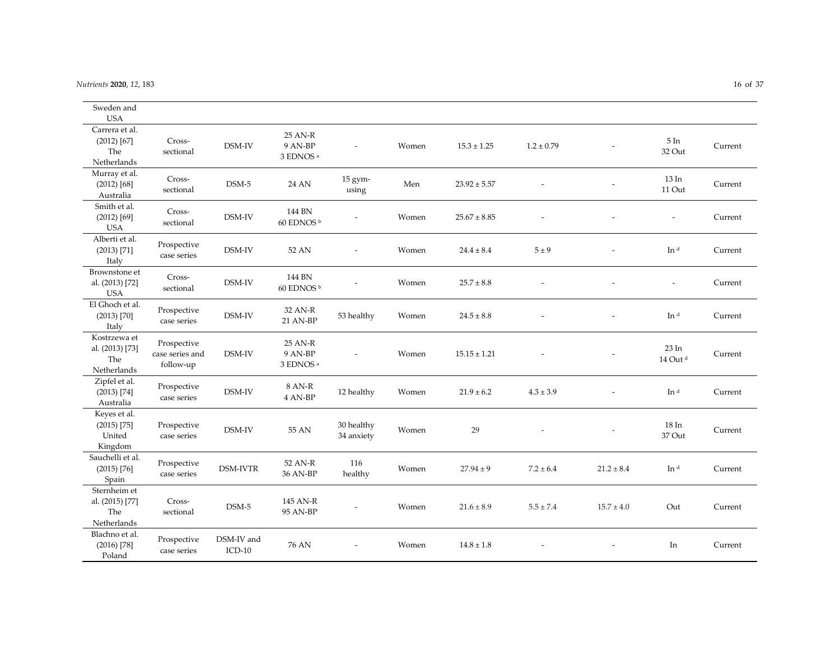#### *Nutrients* **2020**, *12*, 183 16 of 37

| Sweden and<br><b>USA</b>                              |                                             |                        |                                            |                          |       |                  |                |                |                          |         |
|-------------------------------------------------------|---------------------------------------------|------------------------|--------------------------------------------|--------------------------|-------|------------------|----------------|----------------|--------------------------|---------|
| Carrera et al.<br>$(2012)$ [67]<br>The<br>Netherlands | Cross-<br>sectional                         | DSM-IV                 | 25 AN-R<br>9 AN-BP<br>3 EDNOS <sup>a</sup> |                          | Women | $15.3 \pm 1.25$  | $1.2 \pm 0.79$ |                | $5 \ln$<br>32 Out        | Current |
| Murray et al.<br>$(2012)$ [68]<br>Australia           | Cross-<br>sectional                         | $DSM-5$                | 24 AN                                      | $15$ gym-<br>using       | Men   | $23.92 \pm 5.57$ |                |                | 13 In<br>11 Out          | Current |
| Smith et al.<br>$(2012)$ [69]<br><b>USA</b>           | Cross-<br>sectional                         | DSM-IV                 | 144 BN<br>60 EDNOS b                       |                          | Women | $25.67 \pm 8.85$ | $\overline{a}$ | $\overline{a}$ | $\overline{\phantom{a}}$ | Current |
| Alberti et al.<br>$(2013)$ [71]<br>Italy              | Prospective<br>case series                  | DSM-IV                 | 52 AN                                      | $\overline{\phantom{a}}$ | Women | $24.4 \pm 8.4$   | 5±9            |                | In d                     | Current |
| Brownstone et<br>al. (2013) [72]<br><b>USA</b>        | Cross-<br>sectional                         | DSM-IV                 | 144 BN<br>60 EDNOS b                       |                          | Women | $25.7 \pm 8.8$   |                |                |                          | Current |
| El Ghoch et al.<br>$(2013)$ $[70]$<br>Italy           | Prospective<br>case series                  | $DSM-IV$               | 32 AN-R<br>21 AN-BP                        | 53 healthy               | Women | $24.5 \pm 8.8$   |                | $\overline{a}$ | In d                     | Current |
| Kostrzewa et<br>al. (2013) [73]<br>The<br>Netherlands | Prospective<br>case series and<br>follow-up | DSM-IV                 | 25 AN-R<br>9 AN-BP<br>3 EDNOS <sup>a</sup> | $\overline{\phantom{a}}$ | Women | $15.15 \pm 1.21$ |                |                | 23 In<br>14 Out d        | Current |
| Zipfel et al.<br>$(2013)$ [74]<br>Australia           | Prospective<br>case series                  | DSM-IV                 | 8 AN-R<br>4 AN-BP                          | 12 healthy               | Women | $21.9 \pm 6.2$   | $4.3 \pm 3.9$  |                | In d                     | Current |
| Keyes et al.<br>$(2015)$ [75]<br>United<br>Kingdom    | Prospective<br>case series                  | DSM-IV                 | 55 AN                                      | 30 healthy<br>34 anxiety | Women | 29               |                |                | 18 In<br>37 Out          | Current |
| Sauchelli et al.<br>$(2015)$ [76]<br>Spain            | Prospective<br>case series                  | <b>DSM-IVTR</b>        | 52 AN-R<br>36 AN-BP                        | 116<br>healthy           | Women | $27.94 \pm 9$    | $7.2 \pm 6.4$  | $21.2 \pm 8.4$ | In d                     | Current |
| Sternheim et<br>al. (2015) [77]<br>The<br>Netherlands | Cross-<br>sectional                         | $DSM-5$                | 145 AN-R<br>95 AN-BP                       |                          | Women | $21.6 \pm 8.9$   | $5.5\pm7.4$    | $15.7 \pm 4.0$ | Out                      | Current |
| Blachno et al.<br>$(2016)$ [78]<br>Poland             | Prospective<br>case series                  | DSM-IV and<br>$ICD-10$ | 76 AN                                      | $\overline{a}$           | Women | $14.8 \pm 1.8$   |                |                | In                       | Current |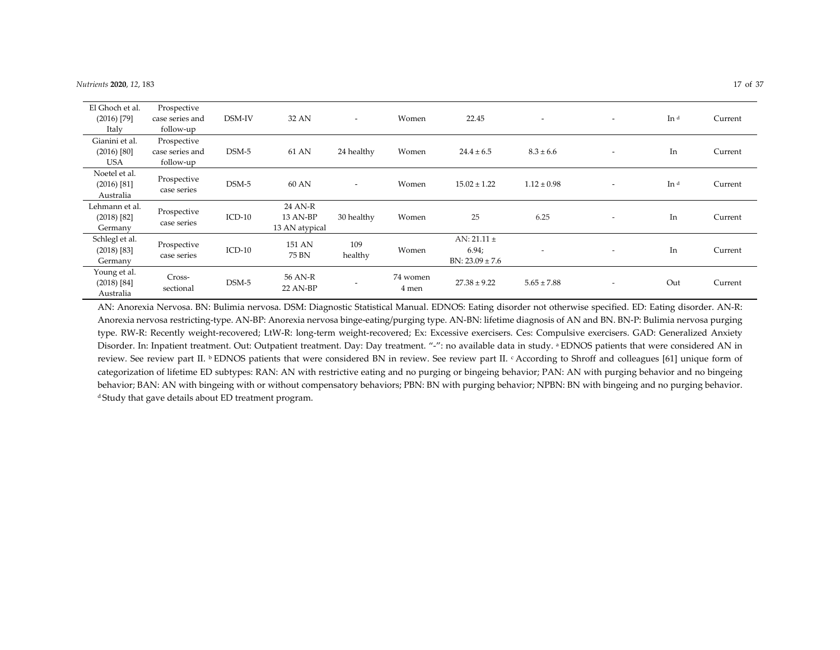| El Ghoch et al.<br>$(2016)$ [79]<br>Italy     | Prospective<br>case series and<br>follow-up | DSM-IV   | 32 AN                                 | $\overline{\phantom{a}}$ | Women             | 22.45                                           |                 |                          | In d | Current |
|-----------------------------------------------|---------------------------------------------|----------|---------------------------------------|--------------------------|-------------------|-------------------------------------------------|-----------------|--------------------------|------|---------|
| Gianini et al.<br>$(2016)$ [80]<br><b>USA</b> | Prospective<br>case series and<br>follow-up | DSM-5    | 61 AN                                 | 24 healthy               | Women             | $24.4 \pm 6.5$                                  | $8.3 \pm 6.6$   |                          | In   | Current |
| Noetel et al.<br>$(2016)$ [81]<br>Australia   | Prospective<br>case series                  | $DSM-5$  | 60 AN                                 | $\overline{\phantom{a}}$ | Women             | $15.02 \pm 1.22$                                | $1.12 \pm 0.98$ |                          | In d | Current |
| Lehmann et al.<br>$(2018)$ [82]<br>Germany    | Prospective<br>case series                  | $ICD-10$ | 24 AN-R<br>13 AN-BP<br>13 AN atypical | 30 healthy               | Women             | 25                                              | 6.25            | $\overline{\phantom{a}}$ | In   | Current |
| Schlegl et al.<br>$(2018)$ [83]<br>Germany    | Prospective<br>case series                  | $ICD-10$ | 151 AN<br>75 BN                       | 109<br>healthy           | Women             | AN: $21.11 \pm$<br>6.94;<br>$BN: 23.09 \pm 7.6$ |                 |                          | In   | Current |
| Young et al.<br>$(2018)$ [84]<br>Australia    | Cross-<br>sectional                         | $DSM-5$  | 56 AN-R<br>22 AN-BP                   | $\overline{\phantom{a}}$ | 74 women<br>4 men | $27.38 \pm 9.22$                                | $5.65 \pm 7.88$ | $\overline{\phantom{a}}$ | Out  | Current |

AN: Anorexia Nervosa. BN: Bulimia nervosa. DSM: Diagnostic Statistical Manual. EDNOS: Eating disorder not otherwise specified. ED: Eating disorder. AN‐R: Anorexia nervosa restricting‐type. AN‐BP: Anorexia nervosa binge‐eating/purging type. AN‐BN: lifetime diagnosis of AN and BN. BN‐P: Bulimia nervosa purging type. RW‐R: Recently weight‐recovered; LtW‐R: long‐term weight‐recovered; Ex: Excessive exercisers. Ces: Compulsive exercisers. GAD: Generalized Anxiety Disorder. In: Inpatient treatment. Out: Outpatient treatment. Day: Day treatment. "-": no available data in study. ª EDNOS patients that were considered AN in review. See review part II. <sup>b</sup> EDNOS patients that were considered BN in review. See review part II. <sup>c</sup> According to Shroff and colleagues [61] unique form of categorization of lifetime ED subtypes: RAN: AN with restrictive eating and no purging or bingeing behavior; PAN: AN with purging behavior and no bingeing behavior; BAN: AN with bingeing with or without compensatory behaviors; PBN: BN with purging behavior; NPBN: BN with bingeing and no purging behavior. d Study that gave details about ED treatment program.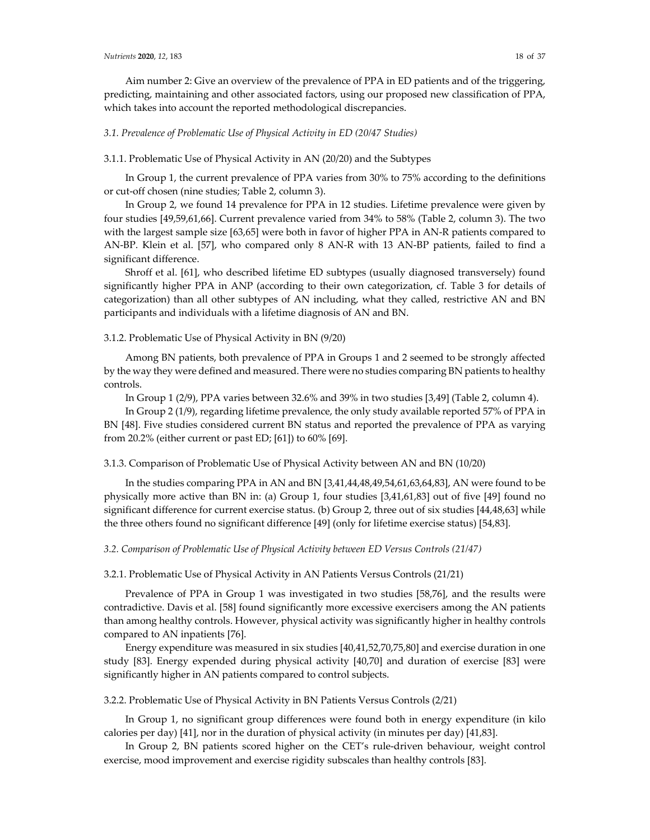# *3.1. Prevalence of Problematic Use of Physical Activity in ED (20/47 Studies)*

# 3.1.1. Problematic Use of Physical Activity in AN (20/20) and the Subtypes

In Group 1, the current prevalence of PPA varies from 30% to 75% according to the definitions or cut‐off chosen (nine studies; Table 2, column 3).

In Group 2, we found 14 prevalence for PPA in 12 studies. Lifetime prevalence were given by four studies [49,59,61,66]. Current prevalence varied from 34% to 58% (Table 2, column 3). The two with the largest sample size [63,65] were both in favor of higher PPA in AN‐R patients compared to AN‐BP. Klein et al. [57], who compared only 8 AN‐R with 13 AN‐BP patients, failed to find a significant difference.

Shroff et al. [61], who described lifetime ED subtypes (usually diagnosed transversely) found significantly higher PPA in ANP (according to their own categorization, cf. Table 3 for details of categorization) than all other subtypes of AN including, what they called, restrictive AN and BN participants and individuals with a lifetime diagnosis of AN and BN.

# 3.1.2. Problematic Use of Physical Activity in BN (9/20)

Among BN patients, both prevalence of PPA in Groups 1 and 2 seemed to be strongly affected by the way they were defined and measured. There were no studies comparing BN patients to healthy controls.

In Group 1 (2/9), PPA varies between 32.6% and 39% in two studies [3,49] (Table 2, column 4).

In Group 2 (1/9), regarding lifetime prevalence, the only study available reported 57% of PPA in BN [48]. Five studies considered current BN status and reported the prevalence of PPA as varying from 20.2% (either current or past ED; [61]) to 60% [69].

# 3.1.3. Comparison of Problematic Use of Physical Activity between AN and BN (10/20)

In the studies comparing PPA in AN and BN [3,41,44,48,49,54,61,63,64,83], AN were found to be physically more active than BN in: (a) Group 1, four studies [3,41,61,83] out of five [49] found no significant difference for current exercise status. (b) Group 2, three out of six studies [44,48,63] while the three others found no significant difference [49] (only for lifetime exercise status) [54,83].

*3.2. Comparison of Problematic Use of Physical Activity between ED Versus Controls (21/47)*

3.2.1. Problematic Use of Physical Activity in AN Patients Versus Controls (21/21)

Prevalence of PPA in Group 1 was investigated in two studies [58,76], and the results were contradictive. Davis et al. [58] found significantly more excessive exercisers among the AN patients than among healthy controls. However, physical activity was significantly higher in healthy controls compared to AN inpatients [76].

Energy expenditure was measured in six studies [40,41,52,70,75,80] and exercise duration in one study [83]. Energy expended during physical activity [40,70] and duration of exercise [83] were significantly higher in AN patients compared to control subjects.

3.2.2. Problematic Use of Physical Activity in BN Patients Versus Controls (2/21)

In Group 1, no significant group differences were found both in energy expenditure (in kilo calories per day) [41], nor in the duration of physical activity (in minutes per day) [41,83].

In Group 2, BN patients scored higher on the CET's rule‐driven behaviour, weight control exercise, mood improvement and exercise rigidity subscales than healthy controls [83].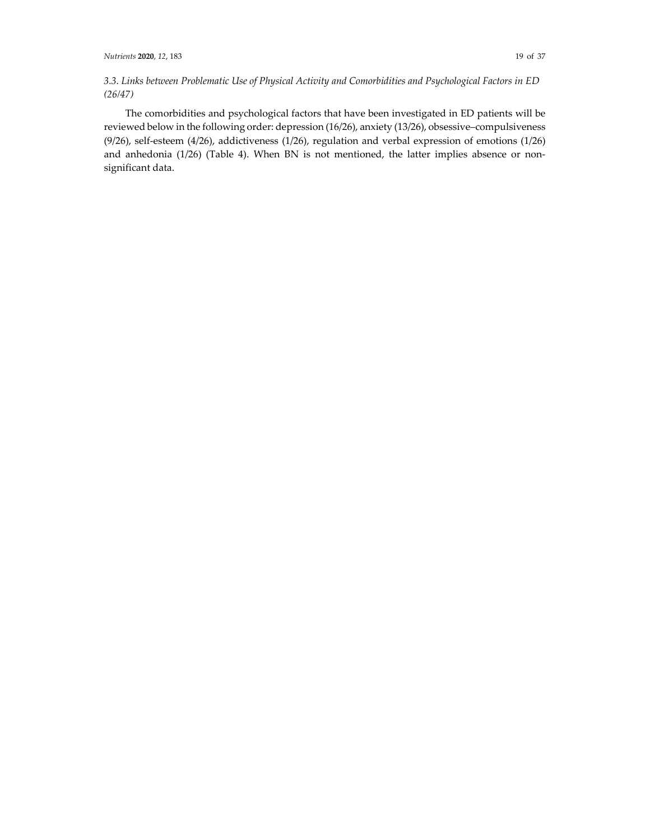The comorbidities and psychological factors that have been investigated in ED patients will be reviewed below in the following order: depression (16/26), anxiety (13/26), obsessive–compulsiveness (9/26), self‐esteem (4/26), addictiveness (1/26), regulation and verbal expression of emotions (1/26) and anhedonia (1/26) (Table 4). When BN is not mentioned, the latter implies absence or nonsignificant data.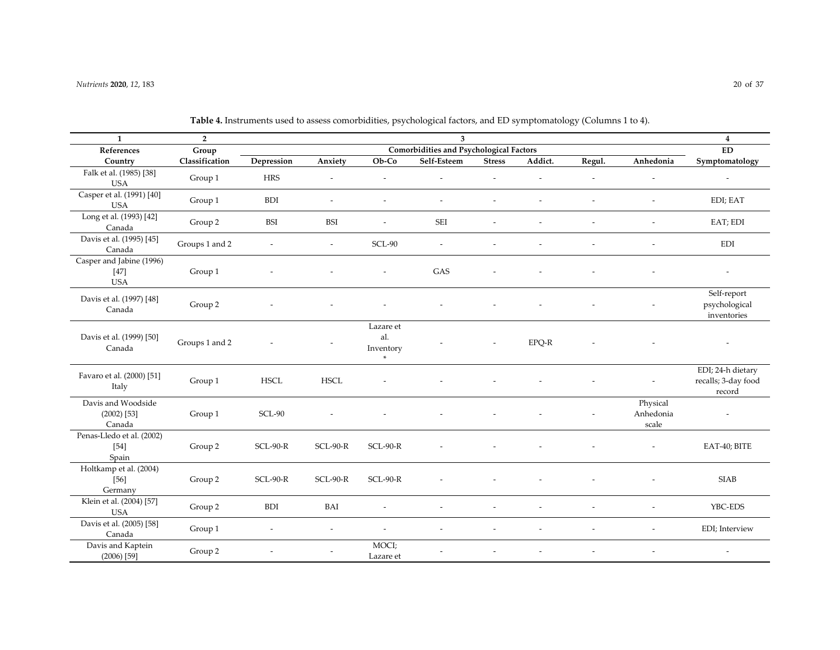| $\mathbf{1}$                                     | $\overline{2}$ |                          |                          |                                                           | $\mathbf{3}$                                   |               |           |        |                                | $\overline{4}$                                     |
|--------------------------------------------------|----------------|--------------------------|--------------------------|-----------------------------------------------------------|------------------------------------------------|---------------|-----------|--------|--------------------------------|----------------------------------------------------|
| References                                       | Group          |                          |                          |                                                           | <b>Comorbidities and Psychological Factors</b> |               |           |        |                                | <b>ED</b>                                          |
| Country                                          | Classification | Depression               | Anxiety                  | Ob-Co                                                     | Self-Esteem                                    | <b>Stress</b> | Addict.   | Regul. | Anhedonia                      | Symptomatology                                     |
| Falk et al. (1985) [38]<br><b>USA</b>            | Group 1        | <b>HRS</b>               | $\overline{a}$           |                                                           |                                                |               |           |        | $\overline{a}$                 | $\overline{\phantom{a}}$                           |
| Casper et al. (1991) [40]<br><b>USA</b>          | Group 1        | <b>BDI</b>               |                          |                                                           |                                                |               |           |        |                                | EDI; EAT                                           |
| Long et al. (1993) [42]<br>Canada                | Group 2        | <b>BSI</b>               | <b>BSI</b>               |                                                           | <b>SEI</b>                                     |               |           |        |                                | EAT; EDI                                           |
| Davis et al. (1995) [45]<br>Canada               | Groups 1 and 2 | $\overline{\phantom{a}}$ | $\overline{\phantom{a}}$ | <b>SCL-90</b>                                             |                                                |               |           |        |                                | <b>EDI</b>                                         |
| Casper and Jabine (1996)<br>$[47]$<br><b>USA</b> | Group 1        |                          |                          |                                                           | GAS                                            |               |           |        |                                |                                                    |
| Davis et al. (1997) [48]<br>Canada               | Group 2        |                          |                          |                                                           |                                                |               |           |        |                                | Self-report<br>psychological<br>inventories        |
| Davis et al. (1999) [50]<br>Canada               | Groups 1 and 2 |                          |                          | Lazare et<br>$\operatorname{al.}$<br>Inventory<br>$\star$ |                                                | $\sim$        | $E P Q-R$ |        |                                |                                                    |
| Favaro et al. (2000) [51]<br>Italy               | Group 1        | <b>HSCL</b>              | $_{\mathrm{HSCL}}$       |                                                           |                                                |               |           |        |                                | EDI; 24-h dietary<br>recalls; 3-day food<br>record |
| Davis and Woodside<br>$(2002)$ [53]<br>Canada    | Group 1        | <b>SCL-90</b>            |                          |                                                           |                                                |               |           |        | Physical<br>Anhedonia<br>scale |                                                    |
| Penas-Lledo et al. (2002)<br>$[54]$<br>Spain     | Group 2        | $SCL-90-R$               | $SCL-90-R$               | $SCL-90-R$                                                |                                                |               |           |        |                                | EAT-40; BITE                                       |
| Holtkamp et al. (2004)<br>$[56]$<br>Germany      | Group 2        | $SCL-90-R$               | $SCL-90-R$               | $SCL-90-R$                                                |                                                |               |           |        |                                | <b>SIAB</b>                                        |
| Klein et al. (2004) [57]<br><b>USA</b>           | Group 2        | <b>BDI</b>               | BAI                      |                                                           |                                                |               |           |        |                                | YBC-EDS                                            |
| Davis et al. (2005) [58]<br>Canada               | Group 1        | $\sim$                   | $\overline{\phantom{a}}$ |                                                           |                                                |               |           |        |                                | EDI; Interview                                     |
| Davis and Kaptein<br>$(2006)$ [59]               | Group 2        |                          |                          | MOCI;<br>Lazare et                                        |                                                |               |           |        |                                |                                                    |

**Table 4.** Instruments used to assess comorbidities, psychological factors, and ED symptomatology (Columns <sup>1</sup> to 4).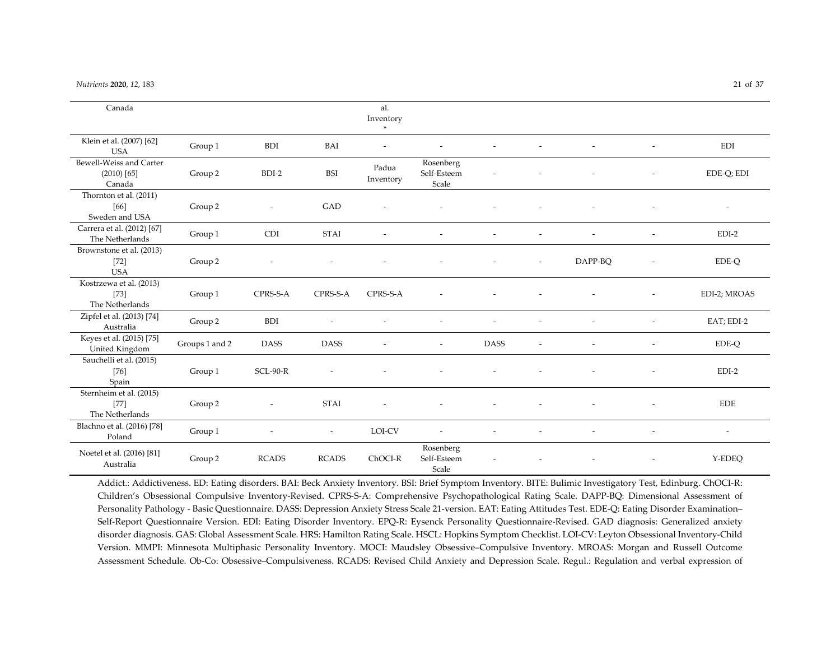#### *Nutrients* **2020**, *12*, 183 21 of 37

| Canada                                               |                |              |                          | al.<br>Inventory<br>$\star$ |                                   |             |                          |         |                          |
|------------------------------------------------------|----------------|--------------|--------------------------|-----------------------------|-----------------------------------|-------------|--------------------------|---------|--------------------------|
| Klein et al. (2007) [62]<br><b>USA</b>               | Group 1        | <b>BDI</b>   | BAI                      |                             |                                   |             |                          |         | <b>EDI</b>               |
| Bewell-Weiss and Carter<br>$(2010)$ [65]<br>Canada   | Group 2        | BDI-2        | <b>BSI</b>               | Padua<br>Inventory          | Rosenberg<br>Self-Esteem<br>Scale |             |                          |         | EDE-Q; EDI               |
| Thornton et al. (2011)<br>$[66]$<br>Sweden and USA   | Group 2        |              | GAD                      |                             |                                   |             |                          |         |                          |
| Carrera et al. (2012) [67]<br>The Netherlands        | Group 1        | CDI          | <b>STAI</b>              |                             |                                   |             |                          |         | $EDI-2$                  |
| Brownstone et al. (2013)<br>$[72]$<br><b>USA</b>     | Group 2        |              |                          |                             |                                   |             | $\overline{\phantom{a}}$ | DAPP-BQ | EDE-Q                    |
| Kostrzewa et al. (2013)<br>$[73]$<br>The Netherlands | Group 1        | CPRS-S-A     | CPRS-S-A                 | CPRS-S-A                    |                                   |             |                          |         | EDI-2; MROAS             |
| Zipfel et al. (2013) [74]<br>Australia               | Group 2        | <b>BDI</b>   | $\overline{a}$           |                             |                                   |             |                          |         | EAT; EDI-2               |
| Keyes et al. (2015) [75]<br>United Kingdom           | Groups 1 and 2 | <b>DASS</b>  | <b>DASS</b>              |                             |                                   | <b>DASS</b> | $\overline{a}$           |         | EDE-Q                    |
| Sauchelli et al. (2015)<br>$[76]$<br>Spain           | Group 1        | $SCL-90-R$   |                          |                             |                                   |             |                          |         | $EDI-2$                  |
| Sternheim et al. (2015)<br>$[77]$<br>The Netherlands | Group 2        |              | <b>STAI</b>              |                             |                                   |             |                          |         | <b>EDE</b>               |
| Blachno et al. (2016) [78]<br>Poland                 | Group 1        |              | $\overline{\phantom{a}}$ | LOI-CV                      |                                   |             |                          |         | $\overline{\phantom{a}}$ |
| Noetel et al. (2016) [81]<br>Australia               | Group 2        | <b>RCADS</b> | <b>RCADS</b>             | ChOCI-R                     | Rosenberg<br>Self-Esteem<br>Scale |             |                          |         | Y-EDEQ                   |

Addict.: Addictiveness. ED: Eating disorders. BAI: Beck Anxiety Inventory. BSI: Brief Symptom Inventory. BITE: Bulimic Investigatory Test, Edinburg. ChOCI‐R: Children's Obsessional Compulsive Inventory‐Revised. CPRS‐S‐A: Comprehensive Psychopathological Rating Scale. DAPP‐BQ: Dimensional Assessment of Personality Pathology ‐ Basic Questionnaire. DASS: Depression Anxiety Stress Scale <sup>21</sup>‐version. EAT: Eating Attitudes Test. EDE‐Q: Eating Disorder Examination– Self‐Report Questionnaire Version. EDI: Eating Disorder Inventory. EPQ‐R: Eysenck Personality Questionnaire‐Revised. GAD diagnosis: Generalized anxiety disorder diagnosis. GAS: Global Assessment Scale. HRS: Hamilton Rating Scale. HSCL: Hopkins Symptom Checklist. LOI‐CV: Leyton Obsessional Inventory‐Child Version. MMPI: Minnesota Multiphasic Personality Inventory. MOCI: Maudsley Obsessive–Compulsive Inventory. MROAS: Morgan and Russell Outcome Assessment Schedule. Ob‐Co: Obsessive–Compulsiveness. RCADS: Revised Child Anxiety and Depression Scale. Regul.: Regulation and verbal expression of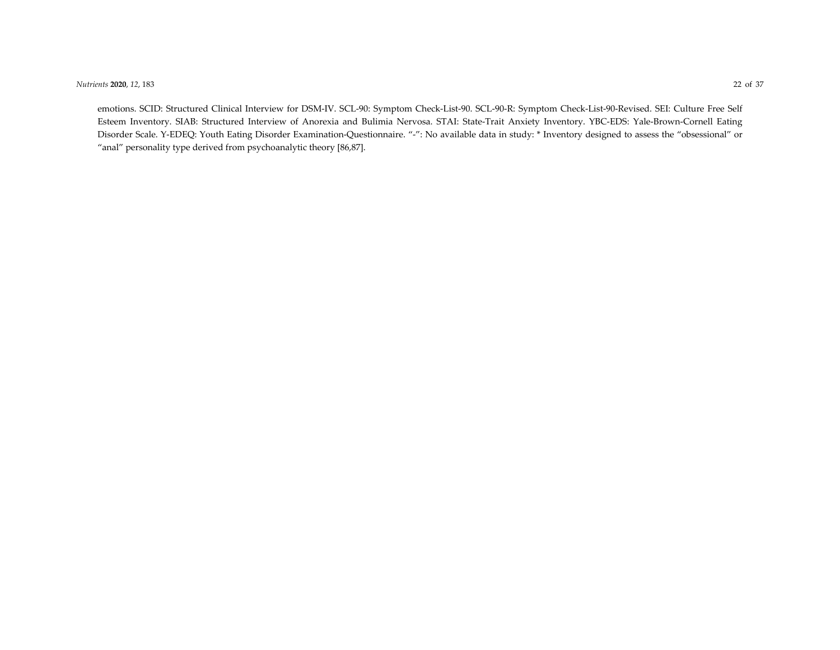emotions. SCID: Structured Clinical Interview for DSM‐IV. SCL‐90: Symptom Check‐List‐90. SCL‐90‐R: Symptom Check‐List‐90‐Revised. SEI: Culture Free Self Esteem Inventory. SIAB: Structured Interview of Anorexia and Bulimia Nervosa. STAI: State‐Trait Anxiety Inventory. YBC‐EDS: Yale‐Brown‐Cornell Eating Disorder Scale. Y‐EDEQ: Youth Eating Disorder Examination‐Questionnaire. "‐": No available data in study: \* Inventory designed to assess the "obsessional" or "anal" personality type derived from psychoanalytic theory [86,87].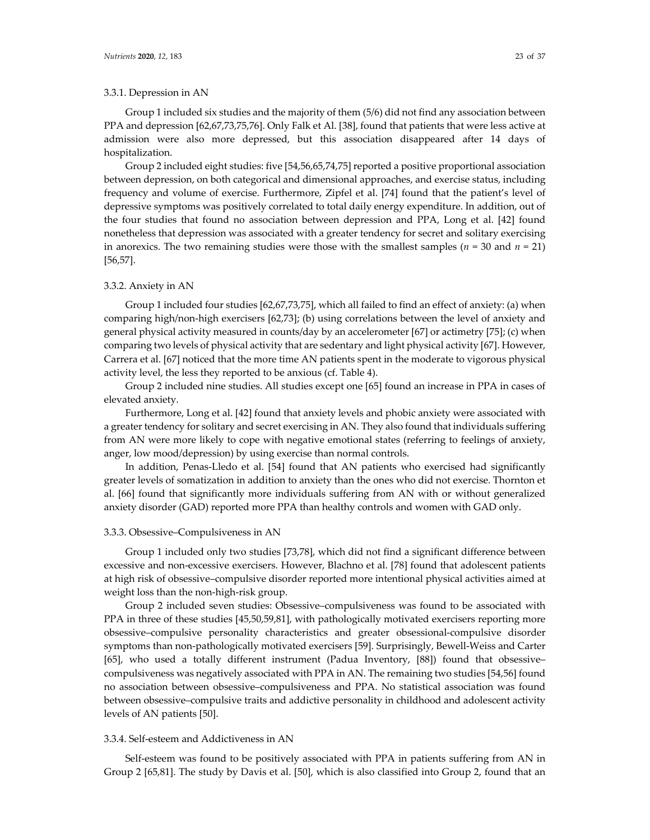# 3.3.1. Depression in AN

Group 1 included six studies and the majority of them (5/6) did not find any association between PPA and depression [62,67,73,75,76]. Only Falk et Al. [38], found that patients that were less active at admission were also more depressed, but this association disappeared after 14 days of hospitalization.

Group 2 included eight studies: five [54,56,65,74,75] reported a positive proportional association between depression, on both categorical and dimensional approaches, and exercise status, including frequency and volume of exercise. Furthermore, Zipfel et al. [74] found that the patient's level of depressive symptoms was positively correlated to total daily energy expenditure. In addition, out of the four studies that found no association between depression and PPA, Long et al. [42] found nonetheless that depression was associated with a greater tendency for secret and solitary exercising in anorexics. The two remaining studies were those with the smallest samples ( $n = 30$  and  $n = 21$ ) [56,57].

## 3.3.2. Anxiety in AN

Group 1 included four studies [62,67,73,75], which all failed to find an effect of anxiety: (a) when comparing high/non‐high exercisers [62,73]; (b) using correlations between the level of anxiety and general physical activity measured in counts/day by an accelerometer [67] or actimetry [75]; (c) when comparing two levels of physical activity that are sedentary and light physical activity [67]. However, Carrera et al. [67] noticed that the more time AN patients spent in the moderate to vigorous physical activity level, the less they reported to be anxious (cf. Table 4).

Group 2 included nine studies. All studies except one [65] found an increase in PPA in cases of elevated anxiety.

Furthermore, Long et al. [42] found that anxiety levels and phobic anxiety were associated with a greater tendency for solitary and secret exercising in AN. They also found that individuals suffering from AN were more likely to cope with negative emotional states (referring to feelings of anxiety, anger, low mood/depression) by using exercise than normal controls.

In addition, Penas-Lledo et al. [54] found that AN patients who exercised had significantly greater levels of somatization in addition to anxiety than the ones who did not exercise. Thornton et al. [66] found that significantly more individuals suffering from AN with or without generalized anxiety disorder (GAD) reported more PPA than healthy controls and women with GAD only.

#### 3.3.3. Obsessive–Compulsiveness in AN

Group 1 included only two studies [73,78], which did not find a significant difference between excessive and non‐excessive exercisers. However, Blachno et al. [78] found that adolescent patients at high risk of obsessive–compulsive disorder reported more intentional physical activities aimed at weight loss than the non‐high‐risk group.

Group 2 included seven studies: Obsessive–compulsiveness was found to be associated with PPA in three of these studies [45,50,59,81], with pathologically motivated exercisers reporting more obsessive–compulsive personality characteristics and greater obsessional‐compulsive disorder symptoms than non-pathologically motivated exercisers [59]. Surprisingly, Bewell-Weiss and Carter [65], who used a totally different instrument (Padua Inventory, [88]) found that obsessive– compulsiveness was negatively associated with PPA in AN. The remaining two studies [54,56] found no association between obsessive–compulsiveness and PPA. No statistical association was found between obsessive–compulsive traits and addictive personality in childhood and adolescent activity levels of AN patients [50].

# 3.3.4. Self‐esteem and Addictiveness in AN

Self-esteem was found to be positively associated with PPA in patients suffering from AN in Group 2 [65,81]. The study by Davis et al. [50], which is also classified into Group 2, found that an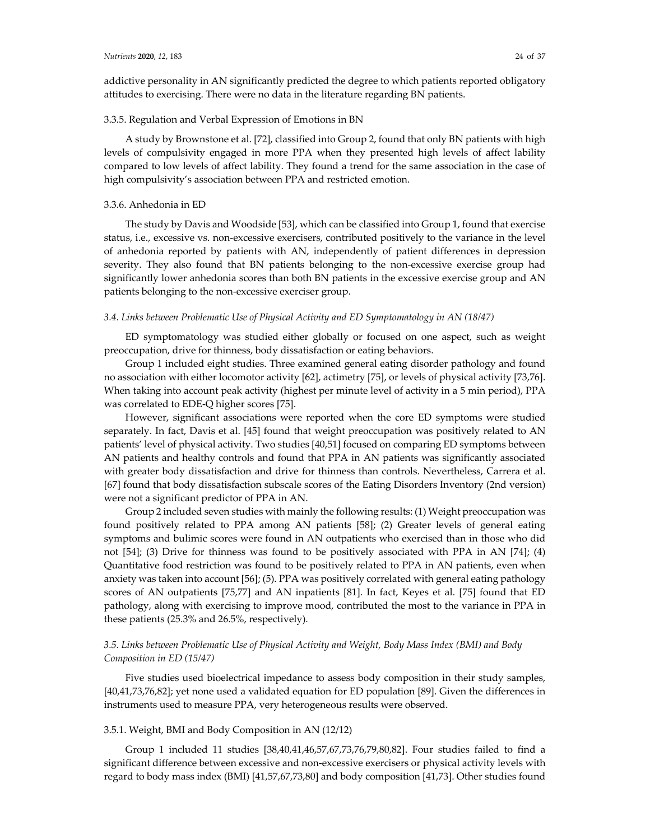addictive personality in AN significantly predicted the degree to which patients reported obligatory attitudes to exercising. There were no data in the literature regarding BN patients.

#### 3.3.5. Regulation and Verbal Expression of Emotions in BN

A study by Brownstone et al. [72], classified into Group 2, found that only BN patients with high levels of compulsivity engaged in more PPA when they presented high levels of affect lability compared to low levels of affect lability. They found a trend for the same association in the case of high compulsivity's association between PPA and restricted emotion.

# 3.3.6. Anhedonia in ED

The study by Davis and Woodside [53], which can be classified into Group 1, found that exercise status, i.e., excessive vs. non‐excessive exercisers, contributed positively to the variance in the level of anhedonia reported by patients with AN, independently of patient differences in depression severity. They also found that BN patients belonging to the non-excessive exercise group had significantly lower anhedonia scores than both BN patients in the excessive exercise group and AN patients belonging to the non‐excessive exerciser group.

#### *3.4. Links between Problematic Use of Physical Activity and ED Symptomatology in AN (18/47)*

ED symptomatology was studied either globally or focused on one aspect, such as weight preoccupation, drive for thinness, body dissatisfaction or eating behaviors.

Group 1 included eight studies. Three examined general eating disorder pathology and found no association with either locomotor activity [62], actimetry [75], or levels of physical activity [73,76]. When taking into account peak activity (highest per minute level of activity in a 5 min period), PPA was correlated to EDE‐Q higher scores [75].

However, significant associations were reported when the core ED symptoms were studied separately. In fact, Davis et al. [45] found that weight preoccupation was positively related to AN patients' level of physical activity. Two studies [40,51] focused on comparing ED symptoms between AN patients and healthy controls and found that PPA in AN patients was significantly associated with greater body dissatisfaction and drive for thinness than controls. Nevertheless, Carrera et al. [67] found that body dissatisfaction subscale scores of the Eating Disorders Inventory (2nd version) were not a significant predictor of PPA in AN.

Group 2 included seven studies with mainly the following results: (1) Weight preoccupation was found positively related to PPA among AN patients [58]; (2) Greater levels of general eating symptoms and bulimic scores were found in AN outpatients who exercised than in those who did not [54]; (3) Drive for thinness was found to be positively associated with PPA in AN [74]; (4) Quantitative food restriction was found to be positively related to PPA in AN patients, even when anxiety was taken into account [56]; (5). PPA was positively correlated with general eating pathology scores of AN outpatients [75,77] and AN inpatients [81]. In fact, Keyes et al. [75] found that ED pathology, along with exercising to improve mood, contributed the most to the variance in PPA in these patients (25.3% and 26.5%, respectively).

# *3.5. Links between Problematic Use of Physical Activity and Weight, Body Mass Index (BMI) and Body Composition in ED (15/47)*

Five studies used bioelectrical impedance to assess body composition in their study samples, [40,41,73,76,82]; yet none used a validated equation for ED population [89]. Given the differences in instruments used to measure PPA, very heterogeneous results were observed.

#### 3.5.1. Weight, BMI and Body Composition in AN (12/12)

Group 1 included 11 studies [38,40,41,46,57,67,73,76,79,80,82]. Four studies failed to find a significant difference between excessive and non-excessive exercisers or physical activity levels with regard to body mass index (BMI) [41,57,67,73,80] and body composition [41,73]. Other studies found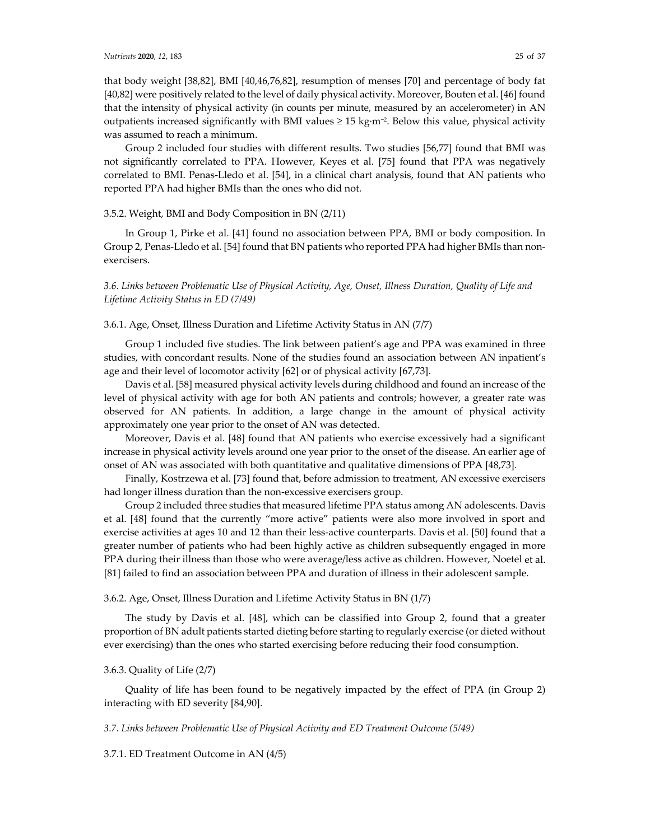that body weight [38,82], BMI [40,46,76,82], resumption of menses [70] and percentage of body fat [40,82] were positively related to the level of daily physical activity. Moreover, Bouten et al. [46] found that the intensity of physical activity (in counts per minute, measured by an accelerometer) in AN outpatients increased significantly with BMI values ≥ 15 kg∙m−2. Below this value, physical activity was assumed to reach a minimum.

Group 2 included four studies with different results. Two studies [56,77] found that BMI was not significantly correlated to PPA. However, Keyes et al. [75] found that PPA was negatively correlated to BMI. Penas‐Lledo et al. [54], in a clinical chart analysis, found that AN patients who reported PPA had higher BMIs than the ones who did not.

#### 3.5.2. Weight, BMI and Body Composition in BN (2/11)

In Group 1, Pirke et al. [41] found no association between PPA, BMI or body composition. In Group 2, Penas-Lledo et al. [54] found that BN patients who reported PPA had higher BMIs than nonexercisers.

*3.6. Links between Problematic Use of Physical Activity, Age, Onset, Illness Duration, Quality of Life and Lifetime Activity Status in ED (7/49)*

## 3.6.1. Age, Onset, Illness Duration and Lifetime Activity Status in AN (7/7)

Group 1 included five studies. The link between patient's age and PPA was examined in three studies, with concordant results. None of the studies found an association between AN inpatient's age and their level of locomotor activity [62] or of physical activity [67,73].

Davis et al. [58] measured physical activity levels during childhood and found an increase of the level of physical activity with age for both AN patients and controls; however, a greater rate was observed for AN patients. In addition, a large change in the amount of physical activity approximately one year prior to the onset of AN was detected.

Moreover, Davis et al. [48] found that AN patients who exercise excessively had a significant increase in physical activity levels around one year prior to the onset of the disease. An earlier age of onset of AN was associated with both quantitative and qualitative dimensions of PPA [48,73].

Finally, Kostrzewa et al. [73] found that, before admission to treatment, AN excessive exercisers had longer illness duration than the non-excessive exercisers group.

Group 2 included three studies that measured lifetime PPA status among AN adolescents. Davis et al. [48] found that the currently "more active" patients were also more involved in sport and exercise activities at ages 10 and 12 than their less-active counterparts. Davis et al. [50] found that a greater number of patients who had been highly active as children subsequently engaged in more PPA during their illness than those who were average/less active as children. However, Noetel et al. [81] failed to find an association between PPA and duration of illness in their adolescent sample.

# 3.6.2. Age, Onset, Illness Duration and Lifetime Activity Status in BN (1/7)

The study by Davis et al. [48], which can be classified into Group 2, found that a greater proportion of BN adult patients started dieting before starting to regularly exercise (or dieted without ever exercising) than the ones who started exercising before reducing their food consumption.

#### 3.6.3. Quality of Life (2/7)

Quality of life has been found to be negatively impacted by the effect of PPA (in Group 2) interacting with ED severity [84,90].

*3.7. Links between Problematic Use of Physical Activity and ED Treatment Outcome (5/49)*

# 3.7.1. ED Treatment Outcome in AN (4/5)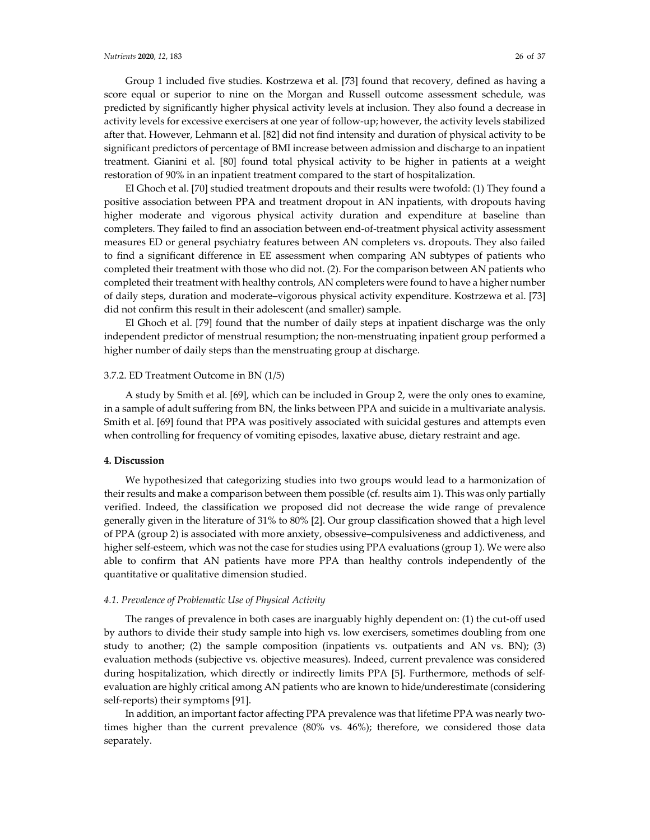Group 1 included five studies. Kostrzewa et al. [73] found that recovery, defined as having a score equal or superior to nine on the Morgan and Russell outcome assessment schedule, was predicted by significantly higher physical activity levels at inclusion. They also found a decrease in activity levels for excessive exercisers at one year of follow‐up; however, the activity levels stabilized after that. However, Lehmann et al. [82] did not find intensity and duration of physical activity to be significant predictors of percentage of BMI increase between admission and discharge to an inpatient treatment. Gianini et al. [80] found total physical activity to be higher in patients at a weight restoration of 90% in an inpatient treatment compared to the start of hospitalization.

El Ghoch et al. [70] studied treatment dropouts and their results were twofold: (1) They found a positive association between PPA and treatment dropout in AN inpatients, with dropouts having higher moderate and vigorous physical activity duration and expenditure at baseline than completers. They failed to find an association between end‐of‐treatment physical activity assessment measures ED or general psychiatry features between AN completers vs. dropouts. They also failed to find a significant difference in EE assessment when comparing AN subtypes of patients who completed their treatment with those who did not. (2). For the comparison between AN patients who completed their treatment with healthy controls, AN completers were found to have a higher number of daily steps, duration and moderate–vigorous physical activity expenditure. Kostrzewa et al. [73] did not confirm this result in their adolescent (and smaller) sample.

El Ghoch et al. [79] found that the number of daily steps at inpatient discharge was the only independent predictor of menstrual resumption; the non‐menstruating inpatient group performed a higher number of daily steps than the menstruating group at discharge.

## 3.7.2. ED Treatment Outcome in BN (1/5)

A study by Smith et al. [69], which can be included in Group 2, were the only ones to examine, in a sample of adult suffering from BN, the links between PPA and suicide in a multivariate analysis. Smith et al. [69] found that PPA was positively associated with suicidal gestures and attempts even when controlling for frequency of vomiting episodes, laxative abuse, dietary restraint and age.

# **4. Discussion**

We hypothesized that categorizing studies into two groups would lead to a harmonization of their results and make a comparison between them possible (cf. results aim 1). This was only partially verified. Indeed, the classification we proposed did not decrease the wide range of prevalence generally given in the literature of 31% to 80% [2]. Our group classification showed that a high level of PPA (group 2) is associated with more anxiety, obsessive–compulsiveness and addictiveness, and higher self-esteem, which was not the case for studies using PPA evaluations (group 1). We were also able to confirm that AN patients have more PPA than healthy controls independently of the quantitative or qualitative dimension studied.

# *4.1. Prevalence of Problematic Use of Physical Activity*

The ranges of prevalence in both cases are inarguably highly dependent on: (1) the cut‐off used by authors to divide their study sample into high vs. low exercisers, sometimes doubling from one study to another; (2) the sample composition (inpatients vs. outpatients and AN vs. BN); (3) evaluation methods (subjective vs. objective measures). Indeed, current prevalence was considered during hospitalization, which directly or indirectly limits PPA [5]. Furthermore, methods of self‐ evaluation are highly critical among AN patients who are known to hide/underestimate (considering self-reports) their symptoms [91].

In addition, an important factor affecting PPA prevalence was that lifetime PPA was nearly twotimes higher than the current prevalence (80% vs. 46%); therefore, we considered those data separately.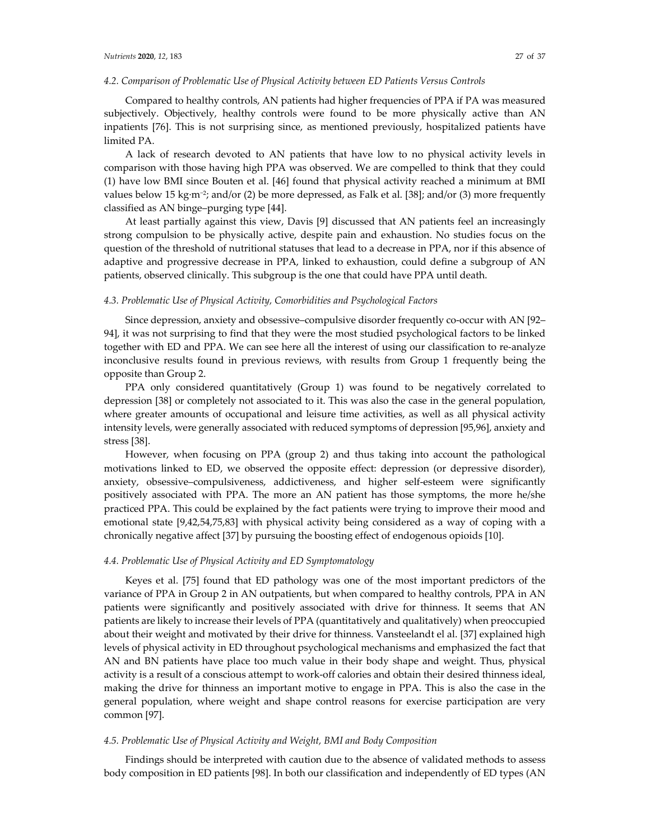#### *Nutrients* **2020**, *12*, 183 27 of 37

# *4.2. Comparison of Problematic Use of Physical Activity between ED Patients Versus Controls*

Compared to healthy controls, AN patients had higher frequencies of PPA if PA was measured subjectively. Objectively, healthy controls were found to be more physically active than AN inpatients [76]. This is not surprising since, as mentioned previously, hospitalized patients have limited PA.

A lack of research devoted to AN patients that have low to no physical activity levels in comparison with those having high PPA was observed. We are compelled to think that they could (1) have low BMI since Bouten et al. [46] found that physical activity reached a minimum at BMI values below 15 kg∙m−2; and/or (2) be more depressed, as Falk et al. [38]; and/or (3) more frequently classified as AN binge–purging type [44].

At least partially against this view, Davis [9] discussed that AN patients feel an increasingly strong compulsion to be physically active, despite pain and exhaustion. No studies focus on the question of the threshold of nutritional statuses that lead to a decrease in PPA, nor if this absence of adaptive and progressive decrease in PPA, linked to exhaustion, could define a subgroup of AN patients, observed clinically. This subgroup is the one that could have PPA until death.

#### *4.3. Problematic Use of Physical Activity, Comorbidities and Psychological Factors*

Since depression, anxiety and obsessive–compulsive disorder frequently co-occur with AN [92– 94], it was not surprising to find that they were the most studied psychological factors to be linked together with ED and PPA. We can see here all the interest of using our classification to re‐analyze inconclusive results found in previous reviews, with results from Group 1 frequently being the opposite than Group 2.

PPA only considered quantitatively (Group 1) was found to be negatively correlated to depression [38] or completely not associated to it. This was also the case in the general population, where greater amounts of occupational and leisure time activities, as well as all physical activity intensity levels, were generally associated with reduced symptoms of depression [95,96], anxiety and stress [38].

However, when focusing on PPA (group 2) and thus taking into account the pathological motivations linked to ED, we observed the opposite effect: depression (or depressive disorder), anxiety, obsessive–compulsiveness, addictiveness, and higher self‐esteem were significantly positively associated with PPA. The more an AN patient has those symptoms, the more he/she practiced PPA. This could be explained by the fact patients were trying to improve their mood and emotional state [9,42,54,75,83] with physical activity being considered as a way of coping with a chronically negative affect [37] by pursuing the boosting effect of endogenous opioids [10].

# *4.4. Problematic Use of Physical Activity and ED Symptomatology*

Keyes et al. [75] found that ED pathology was one of the most important predictors of the variance of PPA in Group 2 in AN outpatients, but when compared to healthy controls, PPA in AN patients were significantly and positively associated with drive for thinness. It seems that AN patients are likely to increase their levels of PPA (quantitatively and qualitatively) when preoccupied about their weight and motivated by their drive for thinness. Vansteelandt el al. [37] explained high levels of physical activity in ED throughout psychological mechanisms and emphasized the fact that AN and BN patients have place too much value in their body shape and weight. Thus, physical activity is a result of a conscious attempt to work‐off calories and obtain their desired thinness ideal, making the drive for thinness an important motive to engage in PPA. This is also the case in the general population, where weight and shape control reasons for exercise participation are very common [97].

## *4.5. Problematic Use of Physical Activity and Weight, BMI and Body Composition*

Findings should be interpreted with caution due to the absence of validated methods to assess body composition in ED patients [98]. In both our classification and independently of ED types (AN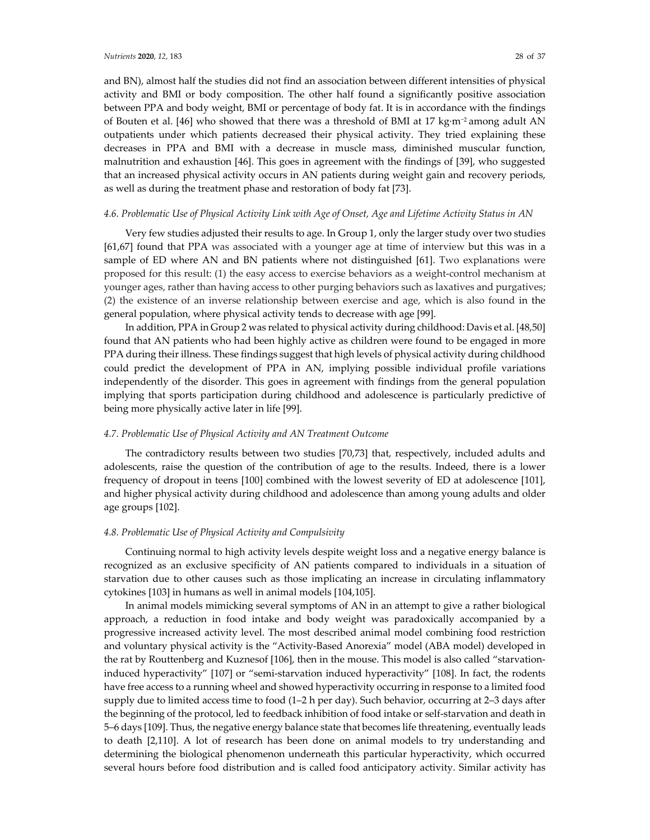and BN), almost half the studies did not find an association between different intensities of physical activity and BMI or body composition. The other half found a significantly positive association between PPA and body weight, BMI or percentage of body fat. It is in accordance with the findings of Bouten et al. [46] who showed that there was a threshold of BMI at 17 kg∙m−<sup>2</sup> among adult AN outpatients under which patients decreased their physical activity. They tried explaining these decreases in PPA and BMI with a decrease in muscle mass, diminished muscular function, malnutrition and exhaustion [46]. This goes in agreement with the findings of [39], who suggested that an increased physical activity occurs in AN patients during weight gain and recovery periods, as well as during the treatment phase and restoration of body fat [73].

### 4.6. Problematic Use of Physical Activity Link with Age of Onset, Age and Lifetime Activity Status in AN

Very few studies adjusted their results to age. In Group 1, only the larger study over two studies [61,67] found that PPA was associated with a younger age at time of interview but this was in a sample of ED where AN and BN patients where not distinguished [61]. Two explanations were proposed for this result: (1) the easy access to exercise behaviors as a weight‐control mechanism at younger ages, rather than having access to other purging behaviors such as laxatives and purgatives; (2) the existence of an inverse relationship between exercise and age, which is also found in the general population, where physical activity tends to decrease with age [99].

In addition, PPA in Group 2 was related to physical activity during childhood: Davis et al. [48,50] found that AN patients who had been highly active as children were found to be engaged in more PPA during their illness. These findings suggest that high levels of physical activity during childhood could predict the development of PPA in AN, implying possible individual profile variations independently of the disorder. This goes in agreement with findings from the general population implying that sports participation during childhood and adolescence is particularly predictive of being more physically active later in life [99].

#### *4.7. Problematic Use of Physical Activity and AN Treatment Outcome*

The contradictory results between two studies [70,73] that, respectively, included adults and adolescents, raise the question of the contribution of age to the results. Indeed, there is a lower frequency of dropout in teens [100] combined with the lowest severity of ED at adolescence [101], and higher physical activity during childhood and adolescence than among young adults and older age groups [102].

## *4.8. Problematic Use of Physical Activity and Compulsivity*

Continuing normal to high activity levels despite weight loss and a negative energy balance is recognized as an exclusive specificity of AN patients compared to individuals in a situation of starvation due to other causes such as those implicating an increase in circulating inflammatory cytokines [103] in humans as well in animal models [104,105].

In animal models mimicking several symptoms of AN in an attempt to give a rather biological approach, a reduction in food intake and body weight was paradoxically accompanied by a progressive increased activity level. The most described animal model combining food restriction and voluntary physical activity is the "Activity-Based Anorexia" model (ABA model) developed in the rat by Routtenberg and Kuznesof [106], then in the mouse. This model is also called "starvationinduced hyperactivity" [107] or "semi‐starvation induced hyperactivity" [108]. In fact, the rodents have free access to a running wheel and showed hyperactivity occurring in response to a limited food supply due to limited access time to food (1–2 h per day). Such behavior, occurring at 2–3 days after the beginning of the protocol, led to feedback inhibition of food intake or self‐starvation and death in 5–6 days [109]. Thus, the negative energy balance state that becomes life threatening, eventually leads to death [2,110]. A lot of research has been done on animal models to try understanding and determining the biological phenomenon underneath this particular hyperactivity, which occurred several hours before food distribution and is called food anticipatory activity. Similar activity has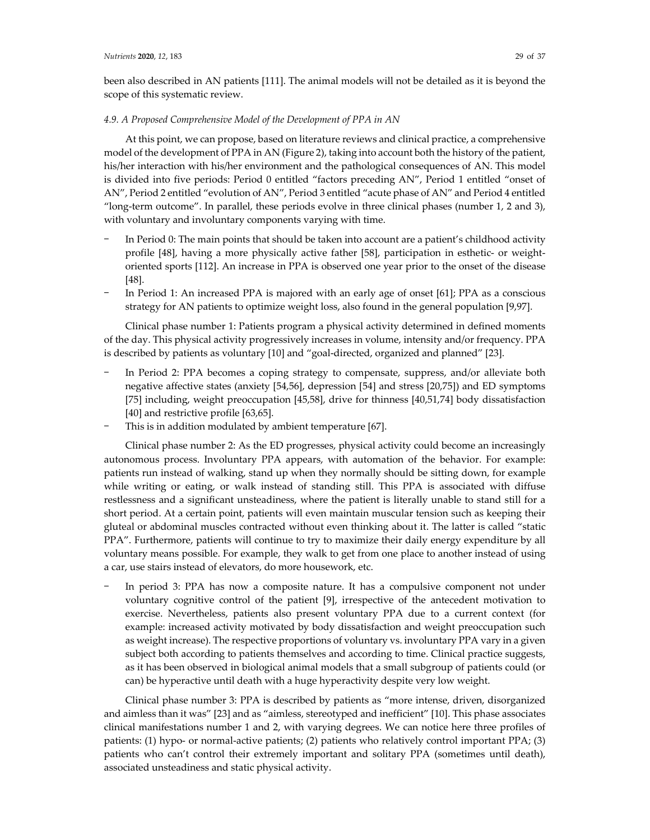been also described in AN patients [111]. The animal models will not be detailed as it is beyond the scope of this systematic review.

### *4.9. A Proposed Comprehensive Model of the Development of PPA in AN*

At this point, we can propose, based on literature reviews and clinical practice, a comprehensive model of the development of PPA in AN (Figure 2), taking into account both the history of the patient, his/her interaction with his/her environment and the pathological consequences of AN. This model is divided into five periods: Period 0 entitled "factors preceding AN", Period 1 entitled "onset of AN", Period 2 entitled "evolution of AN", Period 3 entitled "acute phase of AN" and Period 4 entitled "long‐term outcome". In parallel, these periods evolve in three clinical phases (number 1, 2 and 3), with voluntary and involuntary components varying with time.

- In Period 0: The main points that should be taken into account are a patient's childhood activity profile [48], having a more physically active father [58], participation in esthetic- or weightoriented sports [112]. An increase in PPA is observed one year prior to the onset of the disease [48].
- In Period 1: An increased PPA is majored with an early age of onset [61]; PPA as a conscious strategy for AN patients to optimize weight loss, also found in the general population [9,97].

Clinical phase number 1: Patients program a physical activity determined in defined moments of the day. This physical activity progressively increases in volume, intensity and/or frequency. PPA is described by patients as voluntary [10] and "goal-directed, organized and planned" [23].

- In Period 2: PPA becomes a coping strategy to compensate, suppress, and/or alleviate both negative affective states (anxiety [54,56], depression [54] and stress [20,75]) and ED symptoms [75] including, weight preoccupation [45,58], drive for thinness [40,51,74] body dissatisfaction [40] and restrictive profile [63,65].
- This is in addition modulated by ambient temperature [67].

Clinical phase number 2: As the ED progresses, physical activity could become an increasingly autonomous process. Involuntary PPA appears, with automation of the behavior. For example: patients run instead of walking, stand up when they normally should be sitting down, for example while writing or eating, or walk instead of standing still. This PPA is associated with diffuse restlessness and a significant unsteadiness, where the patient is literally unable to stand still for a short period. At a certain point, patients will even maintain muscular tension such as keeping their gluteal or abdominal muscles contracted without even thinking about it. The latter is called "static PPA". Furthermore, patients will continue to try to maximize their daily energy expenditure by all voluntary means possible. For example, they walk to get from one place to another instead of using a car, use stairs instead of elevators, do more housework, etc.

In period 3: PPA has now a composite nature. It has a compulsive component not under voluntary cognitive control of the patient [9], irrespective of the antecedent motivation to exercise. Nevertheless, patients also present voluntary PPA due to a current context (for example: increased activity motivated by body dissatisfaction and weight preoccupation such as weight increase). The respective proportions of voluntary vs. involuntary PPA vary in a given subject both according to patients themselves and according to time. Clinical practice suggests, as it has been observed in biological animal models that a small subgroup of patients could (or can) be hyperactive until death with a huge hyperactivity despite very low weight.

Clinical phase number 3: PPA is described by patients as "more intense, driven, disorganized and aimless than it was" [23] and as "aimless, stereotyped and inefficient" [10]. This phase associates clinical manifestations number 1 and 2, with varying degrees. We can notice here three profiles of patients: (1) hypo- or normal-active patients; (2) patients who relatively control important PPA; (3) patients who can't control their extremely important and solitary PPA (sometimes until death), associated unsteadiness and static physical activity.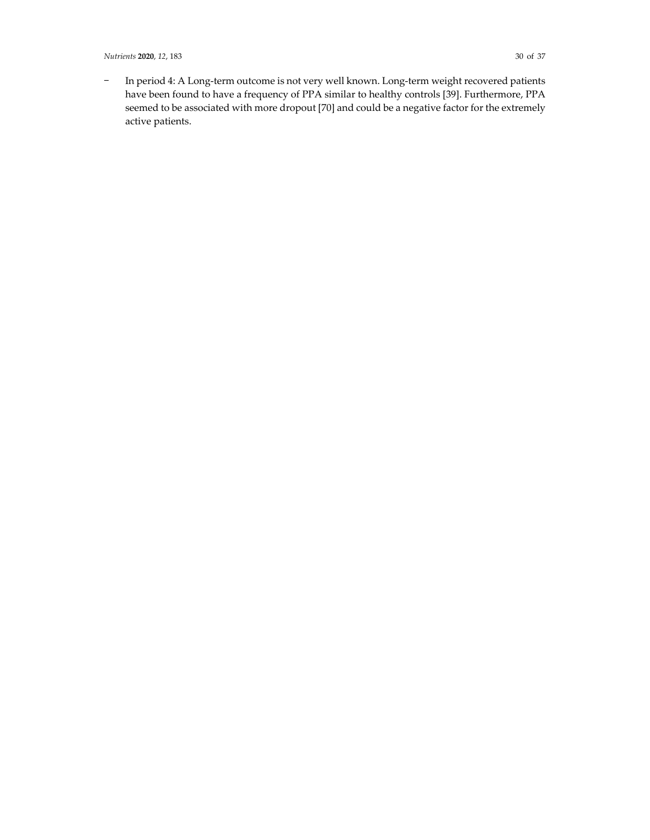# *Nutrients* **2020**, *12*, 183 30 of 37

- In period 4: A Long-term outcome is not very well known. Long-term weight recovered patients have been found to have a frequency of PPA similar to healthy controls [39]. Furthermore, PPA seemed to be associated with more dropout [70] and could be a negative factor for the extremely active patients.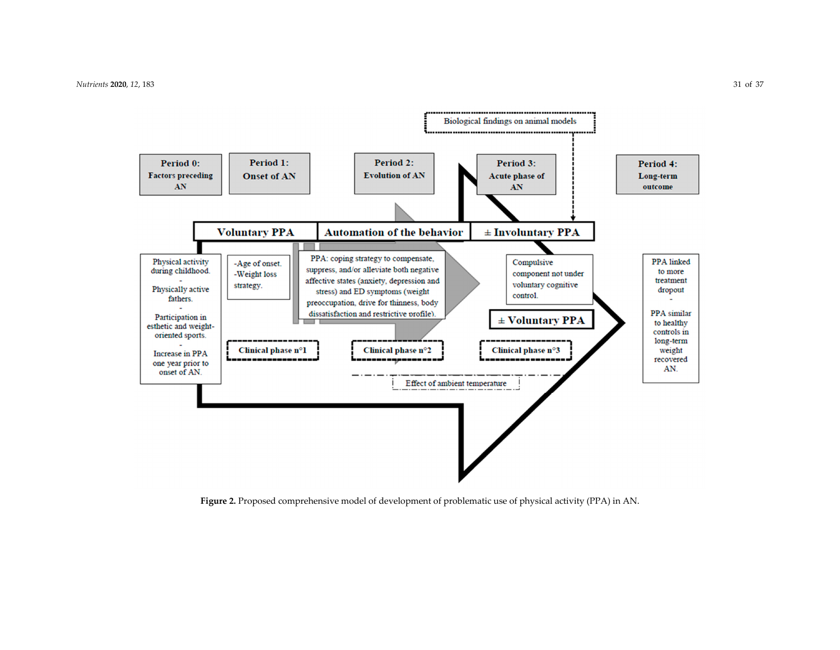

**Figure 2.** Proposed comprehensive model of development of problematic use of physical activity (PPA) in AN.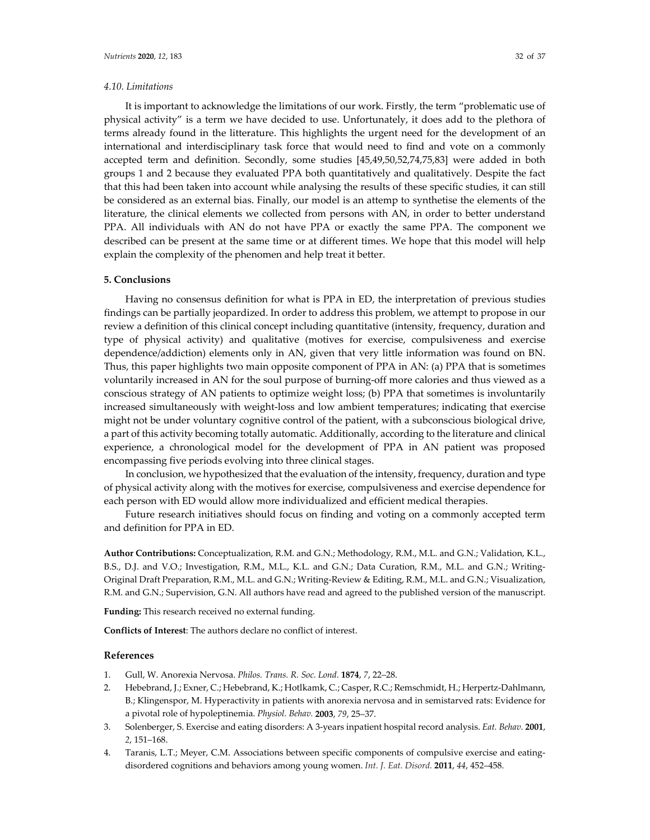# *4.10. Limitations*

It is important to acknowledge the limitations of our work. Firstly, the term "problematic use of physical activity" is a term we have decided to use. Unfortunately, it does add to the plethora of terms already found in the litterature. This highlights the urgent need for the development of an international and interdisciplinary task force that would need to find and vote on a commonly accepted term and definition. Secondly, some studies [45,49,50,52,74,75,83] were added in both groups 1 and 2 because they evaluated PPA both quantitatively and qualitatively. Despite the fact that this had been taken into account while analysing the results of these specific studies, it can still be considered as an external bias. Finally, our model is an attemp to synthetise the elements of the literature, the clinical elements we collected from persons with AN, in order to better understand PPA. All individuals with AN do not have PPA or exactly the same PPA. The component we described can be present at the same time or at different times. We hope that this model will help explain the complexity of the phenomen and help treat it better.

# **5. Conclusions**

Having no consensus definition for what is PPA in ED, the interpretation of previous studies findings can be partially jeopardized. In order to address this problem, we attempt to propose in our review a definition of this clinical concept including quantitative (intensity, frequency, duration and type of physical activity) and qualitative (motives for exercise, compulsiveness and exercise dependence/addiction) elements only in AN, given that very little information was found on BN. Thus, this paper highlights two main opposite component of PPA in AN: (a) PPA that is sometimes voluntarily increased in AN for the soul purpose of burning‐off more calories and thus viewed as a conscious strategy of AN patients to optimize weight loss; (b) PPA that sometimes is involuntarily increased simultaneously with weight‐loss and low ambient temperatures; indicating that exercise might not be under voluntary cognitive control of the patient, with a subconscious biological drive, a part of this activity becoming totally automatic. Additionally, according to the literature and clinical experience, a chronological model for the development of PPA in AN patient was proposed encompassing five periods evolving into three clinical stages.

In conclusion, we hypothesized that the evaluation of the intensity, frequency, duration and type of physical activity along with the motives for exercise, compulsiveness and exercise dependence for each person with ED would allow more individualized and efficient medical therapies.

Future research initiatives should focus on finding and voting on a commonly accepted term and definition for PPA in ED.

**Author Contributions:** Conceptualization, R.M. and G.N.; Methodology, R.M., M.L. and G.N.; Validation, K.L., B.S., D.J. and V.O.; Investigation, R.M., M.L., K.L. and G.N.; Data Curation, R.M., M.L. and G.N.; Writing‐ Original Draft Preparation, R.M., M.L. and G.N.; Writing‐Review & Editing, R.M., M.L. and G.N.; Visualization, R.M. and G.N.; Supervision, G.N. All authors have read and agreed to the published version of the manuscript.

**Funding:** This research received no external funding.

**Conflicts of Interest**: The authors declare no conflict of interest.

### **References**

- 1. Gull, W. Anorexia Nervosa. *Philos. Trans. R. Soc. Lond.* **1874**, *7*, 22–28.
- 2. Hebebrand, J.; Exner, C.; Hebebrand, K.; Hotlkamk, C.; Casper, R.C.; Remschmidt, H.; Herpertz‐Dahlmann, B.; Klingenspor, M. Hyperactivity in patients with anorexia nervosa and in semistarved rats: Evidence for a pivotal role of hypoleptinemia. *Physiol. Behav.* **2003**, *79*, 25–37.
- 3. Solenberger, S. Exercise and eating disorders: A 3‐years inpatient hospital record analysis. *Eat. Behav.* **2001**, *2*, 151–168.
- 4. Taranis, L.T.; Meyer, C.M. Associations between specific components of compulsive exercise and eating‐ disordered cognitions and behaviors among young women. *Int. J. Eat. Disord.* **2011**, *44*, 452–458.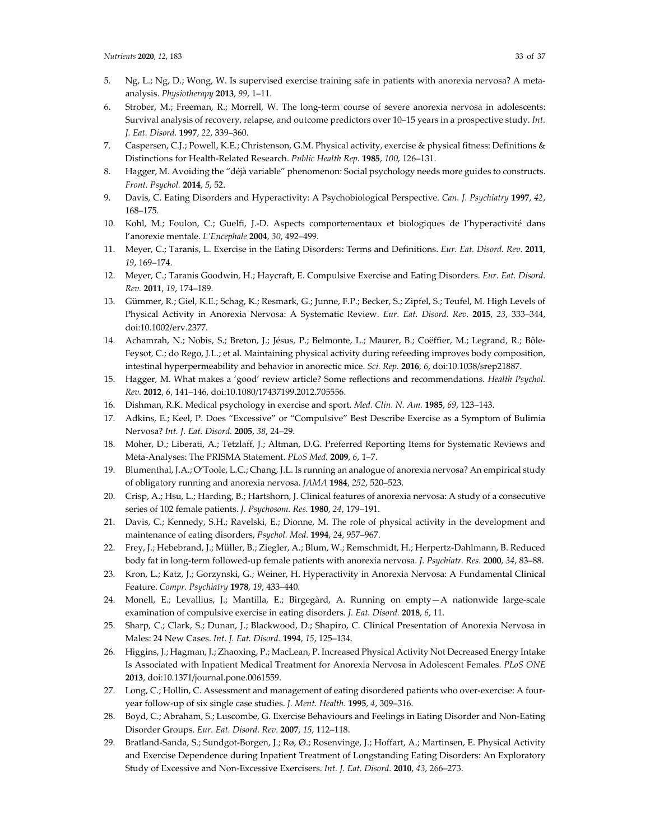- 6. Strober, M.; Freeman, R.; Morrell, W. The long‐term course of severe anorexia nervosa in adolescents: Survival analysis of recovery, relapse, and outcome predictors over 10–15 years in a prospective study. *Int. J. Eat. Disord.* **1997**, *22*, 339–360.
- 7. Caspersen, C.J.; Powell, K.E.; Christenson, G.M. Physical activity, exercise & physical fitness: Definitions & Distinctions for Health‐Related Research. *Public Health Rep.* **1985**, *100*, 126–131.
- 8. Hagger, M. Avoiding the "déjà variable" phenomenon: Social psychology needs more guides to constructs. *Front. Psychol.* **2014**, *5*, 52.
- 9. Davis, C. Eating Disorders and Hyperactivity: A Psychobiological Perspective. *Can. J. Psychiatry* **1997**, *42*, 168–175.
- 10. Kohl, M.; Foulon, C.; Guelfi, J.‐D. Aspects comportementaux et biologiques de l'hyperactivité dans l'anorexie mentale. *L'Encephale* **2004**, *30*, 492–499.
- 11. Meyer, C.; Taranis, L. Exercise in the Eating Disorders: Terms and Definitions. *Eur. Eat. Disord. Rev.* **2011**, *19*, 169–174.
- 12. Meyer, C.; Taranis Goodwin, H.; Haycraft, E. Compulsive Exercise and Eating Disorders. *Eur. Eat. Disord. Rev.* **2011**, *19*, 174–189.
- 13. Gümmer, R.; Giel, K.E.; Schag, K.; Resmark, G.; Junne, F.P.; Becker, S.; Zipfel, S.; Teufel, M. High Levels of Physical Activity in Anorexia Nervosa: A Systematic Review. *Eur. Eat. Disord. Rev.* **2015**, *23*, 333–344, doi:10.1002/erv.2377.
- 14. Achamrah, N.; Nobis, S.; Breton, J.; Jésus, P.; Belmonte, L.; Maurer, B.; Coëffier, M.; Legrand, R.; Bôle‐ Feysot, C.; do Rego, J.L.; et al. Maintaining physical activity during refeeding improves body composition, intestinal hyperpermeability and behavior in anorectic mice. *Sci. Rep.* **2016**, *6*, doi:10.1038/srep21887.
- 15. Hagger, M. What makes a 'good' review article? Some reflections and recommendations. *Health Psychol. Rev.* **2012**, *6*, 141–146, doi:10.1080/17437199.2012.705556.
- 16. Dishman, R.K. Medical psychology in exercise and sport. *Med. Clin. N. Am.* **1985**, *69*, 123–143.
- 17. Adkins, E.; Keel, P. Does "Excessive" or "Compulsive" Best Describe Exercise as a Symptom of Bulimia Nervosa? *Int. J. Eat. Disord.* **2005**, *38*, 24–29.
- 18. Moher, D.; Liberati, A.; Tetzlaff, J.; Altman, D.G. Preferred Reporting Items for Systematic Reviews and Meta‐Analyses: The PRISMA Statement. *PLoS Med.* **2009**, *6*, 1–7.
- 19. Blumenthal, J.A.; O'Toole, L.C.; Chang, J.L. Is running an analogue of anorexia nervosa? An empirical study of obligatory running and anorexia nervosa. *JAMA* **1984**, *252*, 520–523.
- 20. Crisp, A.; Hsu, L.; Harding, B.; Hartshorn, J. Clinical features of anorexia nervosa: A study of a consecutive series of 102 female patients. *J. Psychosom. Res.* **1980**, *24*, 179–191.
- 21. Davis, C.; Kennedy, S.H.; Ravelski, E.; Dionne, M. The role of physical activity in the development and maintenance of eating disorders, *Psychol. Med.* **1994**, *24*, 957–967.
- 22. Frey, J.; Hebebrand, J.; Müller, B.; Ziegler, A.; Blum, W.; Remschmidt, H.; Herpertz‐Dahlmann, B. Reduced body fat in long‐term followed‐up female patients with anorexia nervosa. *J. Psychiatr. Res.* **2000**, *34*, 83–88.
- 23. Kron, L.; Katz, J.; Gorzynski, G.; Weiner, H. Hyperactivity in Anorexia Nervosa: A Fundamental Clinical Feature. *Compr. Psychiatry* **1978**, *19*, 433–440.
- 24. Monell, E.; Levallius, J.; Mantilla, E.; Birgegård, A. Running on empty—A nationwide large‐scale examination of compulsive exercise in eating disorders. *J. Eat. Disord.* **2018**, *6*, 11.
- 25. Sharp, C.; Clark, S.; Dunan, J.; Blackwood, D.; Shapiro, C. Clinical Presentation of Anorexia Nervosa in Males: 24 New Cases. *Int. J. Eat. Disord.* **1994**, *15*, 125–134.
- 26. Higgins, J.; Hagman, J.; Zhaoxing, P.; MacLean, P. Increased Physical Activity Not Decreased Energy Intake Is Associated with Inpatient Medical Treatment for Anorexia Nervosa in Adolescent Females. *PLoS ONE* **2013**, doi:10.1371/journal.pone.0061559.
- 27. Long, C.; Hollin, C. Assessment and management of eating disordered patients who over-exercise: A fouryear follow‐up of six single case studies. *J. Ment. Health*. **1995**, *4*, 309–316.
- 28. Boyd, C.; Abraham, S.; Luscombe, G. Exercise Behaviours and Feelings in Eating Disorder and Non‐Eating Disorder Groups. *Eur. Eat. Disord. Rev*. **2007**, *15*, 112–118.
- 29. Bratland-Sanda, S.; Sundgot-Borgen, J.; Rø, Ø.; Rosenvinge, J.; Hoffart, A.; Martinsen, E. Physical Activity and Exercise Dependence during Inpatient Treatment of Longstanding Eating Disorders: An Exploratory Study of Excessive and Non‐Excessive Exercisers. *Int. J. Eat. Disord.* **2010**, *43*, 266–273.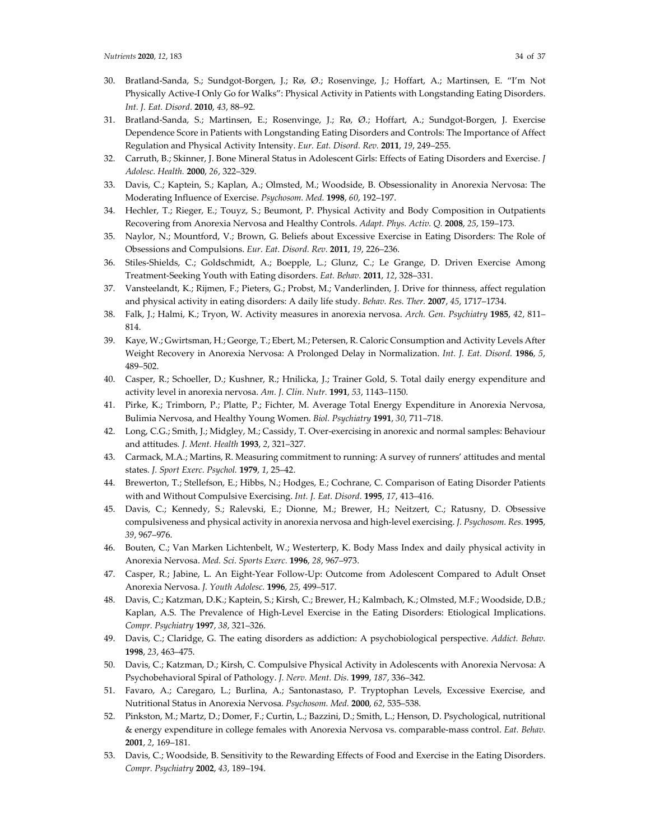- 30. Bratland‐Sanda, S.; Sundgot‐Borgen, J.; Rø, Ø.; Rosenvinge, J.; Hoffart, A.; Martinsen, E. "I'm Not Physically Active‐I Only Go for Walks": Physical Activity in Patients with Longstanding Eating Disorders. *Int. J. Eat. Disord.* **2010**, *43*, 88–92.
- 31. Bratland‐Sanda, S.; Martinsen, E.; Rosenvinge, J.; Rø, Ø.; Hoffart, A.; Sundgot‐Borgen, J. Exercise Dependence Score in Patients with Longstanding Eating Disorders and Controls: The Importance of Affect Regulation and Physical Activity Intensity. *Eur. Eat. Disord. Rev.* **2011**, *19*, 249–255.
- 32. Carruth, B.; Skinner, J. Bone Mineral Status in Adolescent Girls: Effects of Eating Disorders and Exercise. *J Adolesc. Health.* **2000**, *26*, 322–329.
- 33. Davis, C.; Kaptein, S.; Kaplan, A.; Olmsted, M.; Woodside, B. Obsessionality in Anorexia Nervosa: The Moderating Influence of Exercise. *Psychosom. Med.* **1998**, *60*, 192–197.
- 34. Hechler, T.; Rieger, E.; Touyz, S.; Beumont, P. Physical Activity and Body Composition in Outpatients Recovering from Anorexia Nervosa and Healthy Controls. *Adapt. Phys. Activ. Q.* **2008**, *25*, 159–173.
- 35. Naylor, N.; Mountford, V.; Brown, G. Beliefs about Excessive Exercise in Eating Disorders: The Role of Obsessions and Compulsions. *Eur. Eat. Disord. Rev.* **2011**, *19*, 226–236.
- 36. Stiles‐Shields, C.; Goldschmidt, A.; Boepple, L.; Glunz, C.; Le Grange, D. Driven Exercise Among Treatment‐Seeking Youth with Eating disorders. *Eat. Behav.* **2011**, *12*, 328–331.
- 37. Vansteelandt, K.; Rijmen, F.; Pieters, G.; Probst, M.; Vanderlinden, J. Drive for thinness, affect regulation and physical activity in eating disorders: A daily life study. *Behav. Res. Ther.* **2007**, *45*, 1717–1734.
- 38. Falk, J.; Halmi, K.; Tryon, W. Activity measures in anorexia nervosa. *Arch. Gen. Psychiatry* **1985**, *42*, 811– 814.
- 39. Kaye, W.; Gwirtsman, H.; George, T.; Ebert, M.; Petersen, R. Caloric Consumption and Activity Levels After Weight Recovery in Anorexia Nervosa: A Prolonged Delay in Normalization. *Int. J. Eat. Disord.* **1986**, *5*, 489–502.
- 40. Casper, R.; Schoeller, D.; Kushner, R.; Hnilicka, J.; Trainer Gold, S. Total daily energy expenditure and activity level in anorexia nervosa. *Am. J. Clin. Nutr.* **1991**, *53*, 1143–1150.
- 41. Pirke, K.; Trimborn, P.; Platte, P.; Fichter, M. Average Total Energy Expenditure in Anorexia Nervosa, Bulimia Nervosa, and Healthy Young Women. *Biol. Psychiatry* **1991**, *30*, 711–718.
- 42. Long, C.G.; Smith, J.; Midgley, M.; Cassidy, T. Over‐exercising in anorexic and normal samples: Behaviour and attitudes*. J. Ment. Health* **1993**, *2*, 321–327.
- 43. Carmack, M.A.; Martins, R. Measuring commitment to running: A survey of runners' attitudes and mental states*. J. Sport Exerc. Psychol.* **1979**, *1*, 25–42.
- 44. Brewerton, T.; Stellefson, E.; Hibbs, N.; Hodges, E.; Cochrane, C. Comparison of Eating Disorder Patients with and Without Compulsive Exercising. *Int. J. Eat. Disord.* **1995**, *17*, 413–416.
- 45. Davis, C.; Kennedy, S.; Ralevski, E.; Dionne, M.; Brewer, H.; Neitzert, C.; Ratusny, D. Obsessive compulsiveness and physical activity in anorexia nervosa and high‐level exercising. *J. Psychosom. Res.* **1995**, *39*, 967–976.
- 46. Bouten, C.; Van Marken Lichtenbelt, W.; Westerterp, K. Body Mass Index and daily physical activity in Anorexia Nervosa. *Med. Sci. Sports Exerc.* **1996**, *28*, 967–973.
- 47. Casper, R.; Jabine, L. An Eight-Year Follow-Up: Outcome from Adolescent Compared to Adult Onset Anorexia Nervosa. *J. Youth Adolesc.* **1996**, *25*, 499–517.
- 48. Davis, C.; Katzman, D.K.; Kaptein, S.; Kirsh, C.; Brewer, H.; Kalmbach, K.; Olmsted, M.F.; Woodside, D.B.; Kaplan, A.S. The Prevalence of High‐Level Exercise in the Eating Disorders: Etiological Implications. *Compr. Psychiatry* **1997**, *38*, 321–326.
- 49. Davis, C.; Claridge, G. The eating disorders as addiction: A psychobiological perspective. *Addict. Behav.* **1998**, *23*, 463–475.
- 50. Davis, C.; Katzman, D.; Kirsh, C. Compulsive Physical Activity in Adolescents with Anorexia Nervosa: A Psychobehavioral Spiral of Pathology. *J. Nerv. Ment. Dis.* **1999**, *187*, 336–342.
- 51. Favaro, A.; Caregaro, L.; Burlina, A.; Santonastaso, P. Tryptophan Levels, Excessive Exercise, and Nutritional Status in Anorexia Nervosa*. Psychosom. Med.* **2000**, *62*, 535–538.
- 52. Pinkston, M.; Martz, D.; Domer, F.; Curtin, L.; Bazzini, D.; Smith, L.; Henson, D. Psychological, nutritional & energy expenditure in college females with Anorexia Nervosa vs. comparable‐mass control. *Eat. Behav.* **2001**, *2*, 169–181.
- 53. Davis, C.; Woodside, B. Sensitivity to the Rewarding Effects of Food and Exercise in the Eating Disorders. *Compr. Psychiatry* **2002**, *43*, 189–194.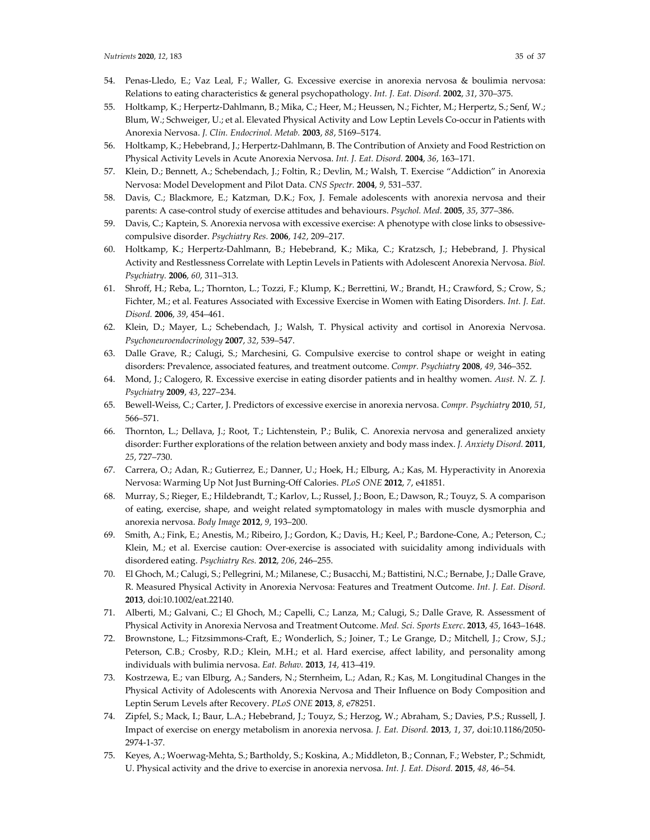- 54. Penas‐Lledo, E.; Vaz Leal, F.; Waller, G. Excessive exercise in anorexia nervosa & boulimia nervosa: Relations to eating characteristics & general psychopathology. *Int. J. Eat. Disord.* **2002**, *31*, 370–375.
- 55. Holtkamp, K.; Herpertz‐Dahlmann, B.; Mika, C.; Heer, M.; Heussen, N.; Fichter, M.; Herpertz, S.; Senf, W.; Blum, W.; Schweiger, U.; et al. Elevated Physical Activity and Low Leptin Levels Co‐occur in Patients with Anorexia Nervosa. *J. Clin. Endocrinol. Metab.* **2003**, *88*, 5169–5174.
- 56. Holtkamp, K.; Hebebrand, J.; Herpertz‐Dahlmann, B. The Contribution of Anxiety and Food Restriction on Physical Activity Levels in Acute Anorexia Nervosa. *Int. J. Eat. Disord.* **2004**, *36*, 163–171.
- 57. Klein, D.; Bennett, A.; Schebendach, J.; Foltin, R.; Devlin, M.; Walsh, T. Exercise "Addiction" in Anorexia Nervosa: Model Development and Pilot Data. *CNS Spectr.* **2004**, *9*, 531–537.
- 58. Davis, C.; Blackmore, E.; Katzman, D.K.; Fox, J. Female adolescents with anorexia nervosa and their parents: A case‐control study of exercise attitudes and behaviours. *Psychol. Med.* **2005**, *35*, 377–386.
- 59. Davis, C.; Kaptein, S. Anorexia nervosa with excessive exercise: A phenotype with close links to obsessivecompulsive disorder. *Psychiatry Res.* **2006**, *142*, 209–217.
- 60. Holtkamp, K.; Herpertz‐Dahlmann, B.; Hebebrand, K.; Mika, C.; Kratzsch, J.; Hebebrand, J. Physical Activity and Restlessness Correlate with Leptin Levels in Patients with Adolescent Anorexia Nervosa. *Biol. Psychiatry.* **2006**, *60*, 311–313.
- 61. Shroff, H.; Reba, L.; Thornton, L.; Tozzi, F.; Klump, K.; Berrettini, W.; Brandt, H.; Crawford, S.; Crow, S.; Fichter, M.; et al. Features Associated with Excessive Exercise in Women with Eating Disorders. *Int. J. Eat. Disord.* **2006**, *39*, 454–461.
- 62. Klein, D.; Mayer, L.; Schebendach, J.; Walsh, T. Physical activity and cortisol in Anorexia Nervosa. *Psychoneuroendocrinology* **2007**, *32*, 539–547.
- 63. Dalle Grave, R.; Calugi, S.; Marchesini, G. Compulsive exercise to control shape or weight in eating disorders: Prevalence, associated features, and treatment outcome. *Compr. Psychiatry* **2008**, *49*, 346–352.
- 64. Mond, J.; Calogero, R. Excessive exercise in eating disorder patients and in healthy women. *Aust. N. Z. J. Psychiatry* **2009**, *43*, 227–234.
- 65. Bewell‐Weiss, C.; Carter, J. Predictors of excessive exercise in anorexia nervosa. *Compr. Psychiatry* **2010**, *51*, 566–571.
- 66. Thornton, L.; Dellava, J.; Root, T.; Lichtenstein, P.; Bulik, C. Anorexia nervosa and generalized anxiety disorder: Further explorations of the relation between anxiety and body mass index. *J. Anxiety Disord.* **2011**, *25*, 727–730.
- 67. Carrera, O.; Adan, R.; Gutierrez, E.; Danner, U.; Hoek, H.; Elburg, A.; Kas, M. Hyperactivity in Anorexia Nervosa: Warming Up Not Just Burning‐Off Calories. *PLoS ONE* **2012**, *7*, e41851.
- 68. Murray, S.; Rieger, E.; Hildebrandt, T.; Karlov, L.; Russel, J.; Boon, E.; Dawson, R.; Touyz, S. A comparison of eating, exercise, shape, and weight related symptomatology in males with muscle dysmorphia and anorexia nervosa. *Body Image* **2012**, *9*, 193–200.
- 69. Smith, A.; Fink, E.; Anestis, M.; Ribeiro, J.; Gordon, K.; Davis, H.; Keel, P.; Bardone‐Cone, A.; Peterson, C.; Klein, M.; et al. Exercise caution: Over‐exercise is associated with suicidality among individuals with disordered eating. *Psychiatry Res.* **2012**, *206*, 246–255.
- 70. El Ghoch, M.; Calugi, S.; Pellegrini, M.; Milanese, C.; Busacchi, M.; Battistini, N.C.; Bernabe, J.; Dalle Grave, R. Measured Physical Activity in Anorexia Nervosa: Features and Treatment Outcome. *Int. J. Eat. Disord.* **2013**, doi:10.1002/eat.22140.
- 71. Alberti, M.; Galvani, C.; El Ghoch, M.; Capelli, C.; Lanza, M.; Calugi, S.; Dalle Grave, R. Assessment of Physical Activity in Anorexia Nervosa and Treatment Outcome. *Med. Sci. Sports Exerc*. **2013**, *45*, 1643–1648.
- 72. Brownstone, L.; Fitzsimmons‐Craft, E.; Wonderlich, S.; Joiner, T.; Le Grange, D.; Mitchell, J.; Crow, S.J.; Peterson, C.B.; Crosby, R.D.; Klein, M.H.; et al. Hard exercise, affect lability, and personality among individuals with bulimia nervosa. *Eat. Behav.* **2013**, *14*, 413–419.
- 73. Kostrzewa, E.; van Elburg, A.; Sanders, N.; Sternheim, L.; Adan, R.; Kas, M. Longitudinal Changes in the Physical Activity of Adolescents with Anorexia Nervosa and Their Influence on Body Composition and Leptin Serum Levels after Recovery. *PLoS ONE* **2013**, *8*, e78251.
- 74. Zipfel, S.; Mack, I.; Baur, L.A.; Hebebrand, J.; Touyz, S.; Herzog, W.; Abraham, S.; Davies, P.S.; Russell, J. Impact of exercise on energy metabolism in anorexia nervosa*. J. Eat. Disord.* **2013**, *1*, 37, doi:10.1186/2050‐ 2974‐1‐37.
- 75. Keyes, A.; Woerwag‐Mehta, S.; Bartholdy, S.; Koskina, A.; Middleton, B.; Connan, F.; Webster, P.; Schmidt, U. Physical activity and the drive to exercise in anorexia nervosa. *Int. J. Eat. Disord.* **2015**, *48*, 46–54*.*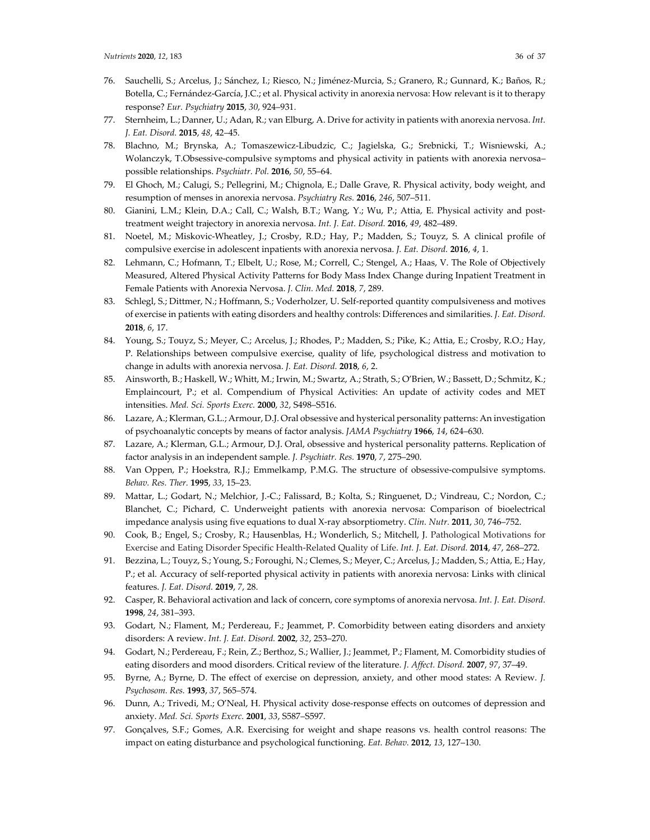- 77. Sternheim, L.; Danner, U.; Adan, R.; van Elburg, A. Drive for activity in patients with anorexia nervosa. *Int. J. Eat. Disord.* **2015**, *48*, 42–45.
- 78. Blachno, M.; Brynska, A.; Tomaszewicz‐Libudzic, C.; Jagielska, G.; Srebnicki, T.; Wisniewski, A.; Wolanczyk, T.Obsessive-compulsive symptoms and physical activity in patients with anorexia nervosapossible relationships. *Psychiatr. Pol.* **2016**, *50*, 55–64.
- 79. El Ghoch, M.; Calugi, S.; Pellegrini, M.; Chignola, E.; Dalle Grave, R. Physical activity, body weight, and resumption of menses in anorexia nervosa. *Psychiatry Res.* **2016**, *246*, 507–511.
- 80. Gianini, L.M.; Klein, D.A.; Call, C.; Walsh, B.T.; Wang, Y.; Wu, P.; Attia, E. Physical activity and posttreatment weight trajectory in anorexia nervosa. *Int. J. Eat. Disord.* **2016**, *49*, 482–489.
- 81. Noetel, M.; Miskovic-Wheatley, J.; Crosby, R.D.; Hay, P.; Madden, S.; Touyz, S. A clinical profile of compulsive exercise in adolescent inpatients with anorexia nervosa. *J. Eat. Disord.* **2016**, *4*, 1.
- 82. Lehmann, C.; Hofmann, T.; Elbelt, U.; Rose, M.; Correll, C.; Stengel, A.; Haas, V. The Role of Objectively Measured, Altered Physical Activity Patterns for Body Mass Index Change during Inpatient Treatment in Female Patients with Anorexia Nervosa. *J. Clin. Med.* **2018**, *7*, 289.
- 83. Schlegl, S.; Dittmer, N.; Hoffmann, S.; Voderholzer, U. Self‐reported quantity compulsiveness and motives of exercise in patients with eating disorders and healthy controls: Differences and similarities. *J. Eat. Disord.* **2018**, *6*, 17.
- 84. Young, S.; Touyz, S.; Meyer, C.; Arcelus, J.; Rhodes, P.; Madden, S.; Pike, K.; Attia, E.; Crosby, R.O.; Hay, P. Relationships between compulsive exercise, quality of life, psychological distress and motivation to change in adults with anorexia nervosa. *J. Eat. Disord.* **2018**, *6*, 2.
- 85. Ainsworth, B.; Haskell, W.; Whitt, M.; Irwin, M.; Swartz, A.; Strath, S.; O'Brien, W.; Bassett, D.; Schmitz, K.; Emplaincourt, P.; et al. Compendium of Physical Activities: An update of activity codes and MET intensities. *Med. Sci. Sports Exerc.* **2000**, *32*, S498–S516.
- 86. Lazare, A.; Klerman, G.L.; Armour, D.J. Oral obsessive and hysterical personality patterns: An investigation of psychoanalytic concepts by means of factor analysis. *JAMA Psychiatry* **1966**, *14*, 624–630.
- 87. Lazare, A.; Klerman, G.L.; Armour, D.J. Oral, obsessive and hysterical personality patterns. Replication of factor analysis in an independent sample*. J. Psychiatr. Res.* **1970**, *7*, 275–290.
- 88. Van Oppen, P.; Hoekstra, R.J.; Emmelkamp, P.M.G. The structure of obsessive-compulsive symptoms. *Behav. Res. Ther.* **1995**, *33*, 15–23.
- 89. Mattar, L.; Godart, N.; Melchior, J.-C.; Falissard, B.; Kolta, S.; Ringuenet, D.; Vindreau, C.; Nordon, C.; Blanchet, C.; Pichard, C. Underweight patients with anorexia nervosa: Comparison of bioelectrical impedance analysis using five equations to dual X‐ray absorptiometry. *Clin. Nutr.* **2011**, *30*, 746–752.
- 90. Cook, B.; Engel, S.; Crosby, R.; Hausenblas, H.; Wonderlich, S.; Mitchell, J. Pathological Motivations for Exercise and Eating Disorder Specific Health‐Related Quality of Life. *Int. J. Eat. Disord.* **2014**, *47*, 268–272.
- 91. Bezzina, L.; Touyz, S.; Young, S.; Foroughi, N.; Clemes, S.; Meyer, C.; Arcelus, J.; Madden, S.; Attia, E.; Hay, P.; et al. Accuracy of self‐reported physical activity in patients with anorexia nervosa: Links with clinical features. *J. Eat. Disord.* **2019**, *7*, 28.
- 92. Casper, R. Behavioral activation and lack of concern, core symptoms of anorexia nervosa. *Int. J. Eat. Disord.* **1998**, *24*, 381–393.
- 93. Godart, N.; Flament, M.; Perdereau, F.; Jeammet, P. Comorbidity between eating disorders and anxiety disorders: A review. *Int. J. Eat. Disord.* **2002**, *32*, 253–270.
- 94. Godart, N.; Perdereau, F.; Rein, Z.; Berthoz, S.; Wallier, J.; Jeammet, P.; Flament, M. Comorbidity studies of eating disorders and mood disorders. Critical review of the literature. *J. Affect. Disord.* **2007**, *97*, 37–49.
- 95. Byrne, A.; Byrne, D. The effect of exercise on depression, anxiety, and other mood states: A Review. *J. Psychosom. Res.* **1993**, *37*, 565–574.
- 96. Dunn, A.; Trivedi, M.; O'Neal, H. Physical activity dose-response effects on outcomes of depression and anxiety. *Med. Sci. Sports Exerc.* **2001**, *33*, S587–S597.
- 97. Gonçalves, S.F.; Gomes, A.R. Exercising for weight and shape reasons vs. health control reasons: The impact on eating disturbance and psychological functioning. *Eat. Behav.* **2012**, *13*, 127–130.